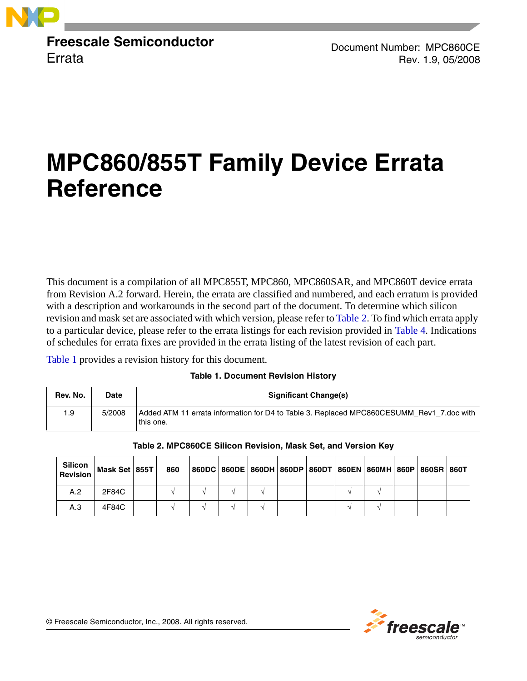

**Freescale Semiconductor** Errata

Document Number: MPC860CE Rev. 1.9, 05/2008

# **MPC860/855T Family Device Errata Reference**

This document is a compilation of all MPC855T, MPC860, MPC860SAR, and MPC860T device errata from Revision A.2 forward. Herein, the errata are classified and numbered, and each erratum is provided with a description and workarounds in the second part of the document. To determine which silicon revision and mask set are associated with which version, please refer to [Table 2](#page-0-0). To find which errata apply to a particular device, please refer to the errata listings for each revision provided in [Table 4](#page-4-0). Indications of schedules for errata fixes are provided in the errata listing of the latest revision of each part.

<span id="page-0-1"></span>[Table 1](#page-0-1) provides a revision history for this document.

| Rev. No. | Date   | <b>Significant Change(s)</b>                                                                          |
|----------|--------|-------------------------------------------------------------------------------------------------------|
| 1.9      | 5/2008 | Added ATM 11 errata information for D4 to Table 3. Replaced MPC860CESUMM Rev1 7.doc with<br>this one. |

**Table 2. MPC860CE Silicon Revision, Mask Set, and Version Key**

<span id="page-0-0"></span>

| <b>Silicon</b><br><b>Revision</b> | Mask Set 855T | 860 |  |  |  | 860DC   860DE   860DH   860DP   860DT   860EN   860MH   860P   860SR   860T |  |  |
|-----------------------------------|---------------|-----|--|--|--|-----------------------------------------------------------------------------|--|--|
| A.2                               | 2F84C         |     |  |  |  |                                                                             |  |  |
| A.3                               | 4F84C         |     |  |  |  |                                                                             |  |  |



© Freescale Semiconductor, Inc., 2008. All rights reserved.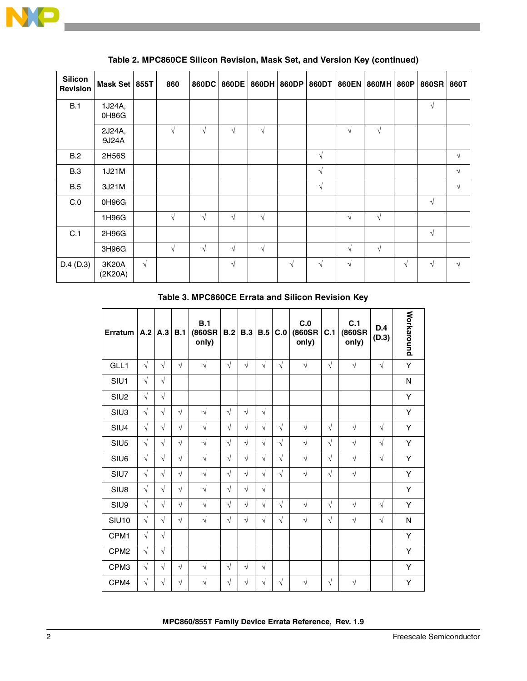

| <b>Silicon</b><br><b>Revision</b> | Mask Set 855T    |            | 860        | 860DC      | 860DE     | 860DH 860DP |            | 860DT      |            | 860EN 860MH | 860P       | 860SR      | 860T       |
|-----------------------------------|------------------|------------|------------|------------|-----------|-------------|------------|------------|------------|-------------|------------|------------|------------|
| B.1                               | 1J24A,<br>0H86G  |            |            |            |           |             |            |            |            |             |            | $\sqrt{ }$ |            |
|                                   | 2J24A,<br>9J24A  |            | $\sqrt{}$  | $\sqrt{ }$ | $\sqrt{}$ | $\sqrt{}$   |            |            | $\sqrt{}$  | $\sqrt{ }$  |            |            |            |
| B.2                               | 2H56S            |            |            |            |           |             |            | $\sqrt{ }$ |            |             |            |            | $\sqrt{ }$ |
| <b>B.3</b>                        | 1J21M            |            |            |            |           |             |            | $\sqrt{ }$ |            |             |            |            | $\sqrt{ }$ |
| <b>B.5</b>                        | 3J21M            |            |            |            |           |             |            | $\sqrt{ }$ |            |             |            |            | $\sqrt{ }$ |
| C.0                               | 0H96G            |            |            |            |           |             |            |            |            |             |            | $\sqrt{}$  |            |
|                                   | 1H96G            |            | $\sqrt{ }$ | $\sqrt{ }$ | $\sqrt{}$ | $\sqrt{ }$  |            |            | $\sqrt{}$  | $\sqrt{ }$  |            |            |            |
| C.1                               | 2H96G            |            |            |            |           |             |            |            |            |             |            | $\sqrt{ }$ |            |
|                                   | 3H96G            |            | $\sqrt{ }$ | $\sqrt{ }$ | $\sqrt{}$ | $\sqrt{ }$  |            |            | $\sqrt{}$  | $\sqrt{ }$  |            |            |            |
| D.4(D.3)                          | 3K20A<br>(2K20A) | $\sqrt{ }$ |            |            | $\sqrt{}$ |             | $\sqrt{ }$ | $\sqrt{ }$ | $\sqrt{2}$ |             | $\sqrt{ }$ | $\sqrt{}$  | $\sqrt{ }$ |

#### **Table 2. MPC860CE Silicon Revision, Mask Set, and Version Key (continued)**

#### **Table 3. MPC860CE Errata and Silicon Revision Key**

| Erratum          |            | $A.2$ $A.3$ | B.1        | B.1<br>(860SR<br>only) | B.2        |            | $B.3$ $B.5$ | C.0       | C.0<br>(860SR<br>only) | C.1        | C.1<br>(860SR<br>only) | D.4<br>(D.3) | Workaround |
|------------------|------------|-------------|------------|------------------------|------------|------------|-------------|-----------|------------------------|------------|------------------------|--------------|------------|
| GLL1             | $\sqrt{ }$ | $\sqrt{ }$  | $\sqrt{ }$ | $\sqrt{}$              | $\sqrt{ }$ | $\sqrt{ }$ | $\sqrt{ }$  | $\sqrt{}$ | $\sqrt{ }$             | $\sqrt{}$  | $\sqrt{ }$             | $\sqrt{ }$   | Y          |
| SIU1             | $\sqrt{}$  | $\sqrt{ }$  |            |                        |            |            |             |           |                        |            |                        |              | N          |
| SIU <sub>2</sub> | $\sqrt{}$  | $\sqrt{ }$  |            |                        |            |            |             |           |                        |            |                        |              | Y          |
| SIU <sub>3</sub> | $\sqrt{ }$ | $\sqrt{ }$  | $\sqrt{ }$ | $\sqrt{ }$             | $\sqrt{}$  | $\sqrt{2}$ | $\sqrt{}$   |           |                        |            |                        |              | Y          |
| SIU4             | $\sqrt{ }$ | $\sqrt{ }$  | $\sqrt{ }$ | $\sqrt{ }$             | $\sqrt{ }$ | $\sqrt{}$  | $\sqrt{}$   | $\sqrt{}$ | $\sqrt{ }$             | $\sqrt{2}$ | $\sqrt{ }$             | $\sqrt{}$    | Y          |
| SIU <sub>5</sub> | $\sqrt{ }$ | $\sqrt{ }$  | $\sqrt{}$  | $\sqrt{ }$             | $\sqrt{ }$ | $\sqrt{ }$ | $\sqrt{}$   | $\sqrt{}$ | $\sqrt{ }$             | $\sqrt{}$  | $\sqrt{ }$             | $\sqrt{ }$   | Y          |
| SIU6             | $\sqrt{ }$ | $\sqrt{ }$  | $\sqrt{}$  | $\sqrt{ }$             | $\sqrt{}$  | $\sqrt{}$  | $\sqrt{}$   | $\sqrt{}$ | $\sqrt{ }$             | $\sqrt{}$  | $\sqrt{ }$             | $\sqrt{}$    | Y          |
| SIU7             | $\sqrt{ }$ | $\sqrt{}$   | $\sqrt{}$  | $\sqrt{}$              | $\sqrt{ }$ | $\sqrt{}$  | $\sqrt{}$   | $\sqrt{}$ | $\sqrt{}$              | $\sqrt{}$  | $\sqrt{}$              |              | Y          |
| SIU8             | $\sqrt{ }$ | $\sqrt{ }$  | $\sqrt{}$  | $\sqrt{ }$             | $\sqrt{ }$ | $\sqrt{}$  | $\sqrt{}$   |           |                        |            |                        |              | Y          |
| SIU9             | $\sqrt{ }$ | $\sqrt{ }$  | $\sqrt{}$  | $\sqrt{ }$             | $\sqrt{}$  | $\sqrt{}$  | $\sqrt{}$   | $\sqrt{}$ | $\sqrt{ }$             | $\sqrt{}$  | $\sqrt{ }$             | $\sqrt{}$    | Y          |
| <b>SIU10</b>     | $\sqrt{ }$ | $\sqrt{ }$  | $\sqrt{}$  | $\sqrt{ }$             | $\sqrt{ }$ | $\sqrt{ }$ | $\sqrt{}$   | $\sqrt{}$ | $\sqrt{ }$             | $\sqrt{}$  | $\sqrt{ }$             | $\sqrt{}$    | N          |
| CPM1             | $\sqrt{}$  | $\sqrt{ }$  |            |                        |            |            |             |           |                        |            |                        |              | Y          |
| CPM <sub>2</sub> | $\sqrt{ }$ | $\sqrt{ }$  |            |                        |            |            |             |           |                        |            |                        |              | Y          |
| CPM3             | $\sqrt{}$  | $\sqrt{ }$  | $\sqrt{}$  | $\sqrt{ }$             | $\sqrt{ }$ | $\sqrt{}$  | $\sqrt{}$   |           |                        |            |                        |              | Y          |
| CPM4             | $\sqrt{}$  | $\sqrt{2}$  | $\sqrt{}$  | $\sqrt{}$              | $\sqrt{ }$ | $\sqrt{}$  | $\sqrt{}$   | $\sqrt{}$ | $\sqrt{ }$             | $\sqrt{}$  | $\sqrt{ }$             |              | Y          |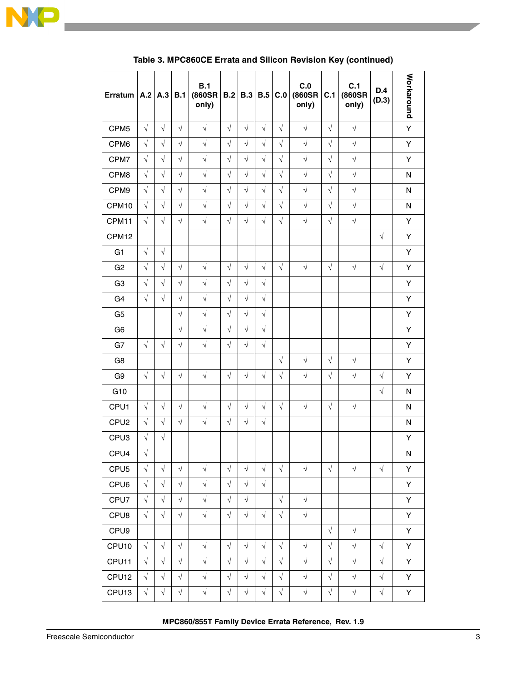

| Erratum           |            | $A.2$ $A.3$ $B.1$ |            | B.1<br>(860SR<br>only) |            |            | $B.2$   $B.3$   $B.5$ | C.0        | C.0<br>(860SR<br>only) | C.1        | C.1<br>(860SR<br>only) | D.4<br>(D.3) | <b>Workaround</b> |
|-------------------|------------|-------------------|------------|------------------------|------------|------------|-----------------------|------------|------------------------|------------|------------------------|--------------|-------------------|
| CPM <sub>5</sub>  | $\sqrt{ }$ | $\sqrt{}$         | $\sqrt{ }$ | $\sqrt{}$              | $\sqrt{ }$ | $\sqrt{}$  | $\sqrt{ }$            | $\sqrt{ }$ | $\sqrt{}$              | $\sqrt{ }$ | $\sqrt{}$              |              | Υ                 |
| CPM6              | $\sqrt{}$  | $\sqrt{}$         | $\sqrt{}$  | $\sqrt{}$              | $\sqrt{ }$ | $\sqrt{}$  | $\sqrt{ }$            | $\sqrt{}$  | $\sqrt{ }$             | $\sqrt{}$  | $\sqrt{}$              |              | Υ                 |
| CPM7              | $\sqrt{ }$ | $\sqrt{2}$        | $\sqrt{ }$ | $\sqrt{}$              | $\sqrt{ }$ | $\sqrt{}$  | $\sqrt{}$             | $\sqrt{ }$ | $\sqrt{ }$             | $\sqrt{ }$ | $\sqrt{}$              |              | Υ                 |
| CPM8              | $\sqrt{}$  | $\sqrt{}$         | $\sqrt{2}$ | $\sqrt{}$              | $\sqrt{}$  | $\sqrt{}$  | $\sqrt{}$             | $\sqrt{ }$ | $\sqrt{ }$             | $\sqrt{}$  | $\sqrt{}$              |              | N                 |
| CPM9              | $\sqrt{ }$ | $\sqrt{2}$        | $\sqrt{2}$ | $\sqrt{}$              | $\sqrt{ }$ | $\sqrt{}$  | $\sqrt{}$             | $\sqrt{ }$ | $\sqrt{ }$             | $\sqrt{}$  | $\sqrt{}$              |              | N                 |
| CPM10             | $\sqrt{}$  | $\sqrt{}$         | $\sqrt{2}$ | $\sqrt{}$              | $\sqrt{}$  | $\sqrt{}$  | $\sqrt{}$             | $\sqrt{ }$ | $\sqrt{ }$             | $\sqrt{}$  | $\sqrt{}$              |              | N                 |
| CPM11             | $\sqrt{ }$ | $\sqrt{2}$        | $\sqrt{ }$ | $\sqrt{}$              | $\sqrt{}$  | $\sqrt{2}$ | $\sqrt{ }$            | $\sqrt{}$  | $\sqrt{ }$             | $\sqrt{}$  | $\sqrt{ }$             |              | Υ                 |
| CPM12             |            |                   |            |                        |            |            |                       |            |                        |            |                        | $\sqrt{}$    | Υ                 |
| G <sub>1</sub>    | $\sqrt{}$  | $\sqrt{}$         |            |                        |            |            |                       |            |                        |            |                        |              | Υ                 |
| G <sub>2</sub>    | $\sqrt{}$  | $\sqrt{}$         | $\sqrt{}$  | $\sqrt{}$              | $\sqrt{ }$ | $\sqrt{}$  | $\sqrt{ }$            | $\sqrt{}$  | $\sqrt{}$              | $\sqrt{ }$ | $\sqrt{}$              | $\sqrt{}$    | Υ                 |
| G <sub>3</sub>    | $\sqrt{}$  | $\sqrt{2}$        | $\sqrt{2}$ | $\sqrt{}$              | $\sqrt{2}$ | $\sqrt{2}$ | $\sqrt{ }$            |            |                        |            |                        |              | Υ                 |
| G4                | $\sqrt{}$  | $\sqrt{}$         | $\sqrt{2}$ | $\sqrt{}$              | $\sqrt{}$  | $\sqrt{ }$ | $\sqrt{ }$            |            |                        |            |                        |              | Υ                 |
| G <sub>5</sub>    |            |                   | $\sqrt{2}$ | $\sqrt{}$              | $\sqrt{2}$ | $\sqrt{ }$ | $\sqrt{ }$            |            |                        |            |                        |              | Υ                 |
| G <sub>6</sub>    |            |                   | $\sqrt{ }$ | $\sqrt{}$              | $\sqrt{}$  | $\sqrt{}$  | $\sqrt{}$             |            |                        |            |                        |              | Υ                 |
| G7                | $\sqrt{ }$ | $\sqrt{}$         | $\sqrt{2}$ | $\sqrt{}$              | $\sqrt{ }$ | $\sqrt{ }$ | $\sqrt{ }$            |            |                        |            |                        |              | Υ                 |
| G <sub>8</sub>    |            |                   |            |                        |            |            |                       | $\sqrt{ }$ | $\sqrt{ }$             | $\sqrt{ }$ | $\sqrt{}$              |              | Υ                 |
| G <sub>9</sub>    | $\sqrt{ }$ | $\sqrt{}$         | $\sqrt{}$  | $\sqrt{}$              | $\sqrt{}$  | $\sqrt{2}$ | $\sqrt{}$             | $\sqrt{}$  | $\sqrt{ }$             | $\sqrt{}$  | $\sqrt{ }$             | $\sqrt{}$    | Υ                 |
| G10               |            |                   |            |                        |            |            |                       |            |                        |            |                        | $\sqrt{ }$   | N                 |
| CPU1              | $\sqrt{}$  | $\sqrt{}$         | $\sqrt{2}$ | $\sqrt{}$              | $\sqrt{}$  | $\sqrt{2}$ | $\sqrt{ }$            | $\sqrt{ }$ | $\sqrt{ }$             | $\sqrt{ }$ | $\sqrt{}$              |              | N                 |
| CPU <sub>2</sub>  | $\sqrt{}$  | $\sqrt{}$         | $\sqrt{}$  | $\sqrt{}$              | $\sqrt{}$  | $\sqrt{ }$ | $\sqrt{}$             |            |                        |            |                        |              | N                 |
| CPU3              | $\sqrt{}$  | $\sqrt{}$         |            |                        |            |            |                       |            |                        |            |                        |              | Y                 |
| CPU4              | $\sqrt{}$  |                   |            |                        |            |            |                       |            |                        |            |                        |              | ${\sf N}$         |
| CPU <sub>5</sub>  | $\sqrt{}$  | $\sqrt{ }$        | $\sqrt{ }$ | $\sqrt{ }$             | $\sqrt{}$  | $\sqrt{}$  | $\sqrt{ }$            | $\sqrt{}$  | $\sqrt{ }$             | $\sqrt{}$  | $\sqrt{ }$             | $\sqrt{}$    | Υ                 |
| CPU6              | $\sqrt{}$  | $\sqrt{}$         | $\sqrt{ }$ | $\sqrt{}$              | $\sqrt{ }$ | $\sqrt{}$  | $\sqrt{}$             |            |                        |            |                        |              | Υ                 |
| CPU7              | $\sqrt{}$  | $\sqrt{}$         | $\sqrt{ }$ | $\sqrt{}$              | $\sqrt{}$  | $\sqrt{}$  |                       | $\sqrt{}$  | $\sqrt{ }$             |            |                        |              | Υ                 |
| CPU8              | $\sqrt{}$  | $\sqrt{}$         | $\sqrt{ }$ | $\sqrt{}$              | $\sqrt{ }$ | $\sqrt{}$  | $\sqrt{}$             | $\sqrt{}$  | $\sqrt{ }$             |            |                        |              | Υ                 |
| CPU <sub>9</sub>  |            |                   |            |                        |            |            |                       |            |                        | $\sqrt{}$  | $\sqrt{}$              |              | Υ                 |
| CPU <sub>10</sub> | $\sqrt{ }$ | $\sqrt{ }$        | $\sqrt{ }$ | $\sqrt{}$              | $\sqrt{}$  | $\sqrt{ }$ | $\sqrt{}$             | $\sqrt{}$  | $\sqrt{}$              | $\sqrt{}$  | $\sqrt{}$              | $\sqrt{ }$   | Υ                 |
| CPU11             | $\sqrt{}$  | $\sqrt{ }$        | $\sqrt{}$  | $\sqrt{}$              | $\sqrt{}$  | $\sqrt{}$  | $\sqrt{}$             | $\sqrt{}$  | $\sqrt{ }$             | $\sqrt{}$  | $\sqrt{}$              | $\sqrt{}$    | Υ                 |
| CPU12             | $\sqrt{}$  | $\sqrt{}$         | $\sqrt{ }$ | $\sqrt{}$              | $\sqrt{}$  | $\sqrt{}$  | $\sqrt{ }$            | $\sqrt{}$  | $\sqrt{ }$             | $\sqrt{}$  | $\sqrt{}$              | $\sqrt{}$    | Υ                 |
| CPU13             | $\sqrt{}$  | $\sqrt{}$         | $\sqrt{ }$ | $\sqrt{}$              | $\sqrt{}$  | $\sqrt{}$  | $\sqrt{}$             | $\sqrt{}$  | $\sqrt{}$              | $\sqrt{}$  | $\sqrt{}$              | $\sqrt{}$    | Υ                 |

**Table 3. MPC860CE Errata and Silicon Revision Key (continued)**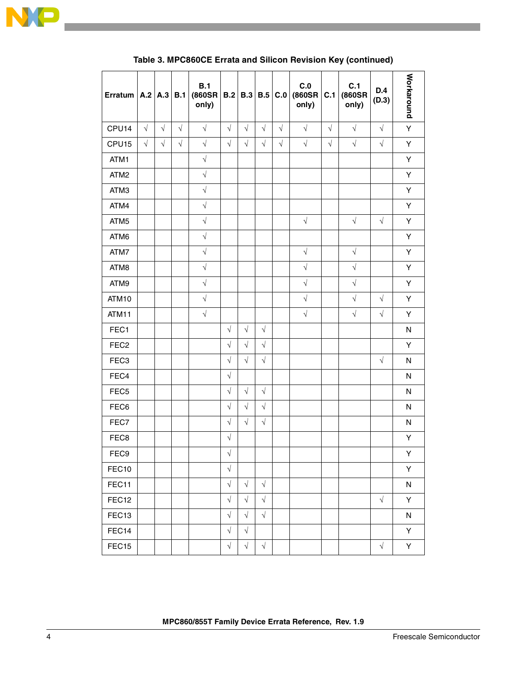

| Erratum $ A.2 A.3 B.1 $ |           |           |            | B.1<br>$(860$ SR   B.2   B.3   B.5   C.0  <br>only) |            |            |            |            | C.0<br>(860SR<br>only) | C.1        | C.1<br>(860SR<br>only) | D.4<br>(D.3) | Workaround |
|-------------------------|-----------|-----------|------------|-----------------------------------------------------|------------|------------|------------|------------|------------------------|------------|------------------------|--------------|------------|
| CPU14                   | $\sqrt{}$ | $\sqrt{}$ | $\sqrt{ }$ | $\sqrt{}$                                           | $\sqrt{ }$ | $\sqrt{ }$ | $\sqrt{ }$ | $\sqrt{ }$ | $\sqrt{}$              | $\sqrt{ }$ | $\sqrt{}$              | $\sqrt{}$    | Υ          |
| CPU15                   | $\sqrt{}$ | $\sqrt{}$ | $\sqrt{ }$ | $\sqrt{}$                                           | $\sqrt{}$  | $\sqrt{}$  | $\sqrt{}$  | $\sqrt{}$  | $\sqrt{ }$             | $\sqrt{}$  | $\sqrt{ }$             | $\sqrt{}$    | Υ          |
| ATM1                    |           |           |            | $\sqrt{}$                                           |            |            |            |            |                        |            |                        |              | Y          |
| ATM <sub>2</sub>        |           |           |            | $\sqrt{}$                                           |            |            |            |            |                        |            |                        |              | Υ          |
| ATM3                    |           |           |            | $\sqrt{}$                                           |            |            |            |            |                        |            |                        |              | Y          |
| ATM4                    |           |           |            | $\sqrt{}$                                           |            |            |            |            |                        |            |                        |              | Y          |
| ATM5                    |           |           |            | $\sqrt{}$                                           |            |            |            |            | $\sqrt{ }$             |            | $\sqrt{ }$             | $\sqrt{}$    | Υ          |
| ATM6                    |           |           |            | $\sqrt{}$                                           |            |            |            |            |                        |            |                        |              | Υ          |
| ATM7                    |           |           |            | $\sqrt{}$                                           |            |            |            |            | $\sqrt{}$              |            | $\sqrt{}$              |              | Υ          |
| ATM8                    |           |           |            | $\sqrt{}$                                           |            |            |            |            | $\sqrt{ }$             |            | $\sqrt{}$              |              | Υ          |
| ATM9                    |           |           |            | $\sqrt{}$                                           |            |            |            |            | $\sqrt{\phantom{a}}$   |            | $\sqrt{}$              |              | Υ          |
| ATM10                   |           |           |            | $\sqrt{}$                                           |            |            |            |            | $\sqrt{ }$             |            | $\sqrt{}$              | $\sqrt{ }$   | Υ          |
| ATM11                   |           |           |            | $\sqrt{}$                                           |            |            |            |            | $\sqrt{ }$             |            | $\sqrt{ }$             | $\sqrt{}$    | Υ          |
| FEC1                    |           |           |            |                                                     | $\sqrt{}$  | $\sqrt{}$  | $\sqrt{}$  |            |                        |            |                        |              | N          |
| FEC <sub>2</sub>        |           |           |            |                                                     | $\sqrt{ }$ | $\sqrt{}$  | $\sqrt{}$  |            |                        |            |                        |              | Υ          |
| FEC <sub>3</sub>        |           |           |            |                                                     | $\sqrt{ }$ | $\sqrt{}$  | $\sqrt{}$  |            |                        |            |                        | $\sqrt{}$    | N          |
| FEC4                    |           |           |            |                                                     | $\sqrt{ }$ |            |            |            |                        |            |                        |              | N          |
| FEC <sub>5</sub>        |           |           |            |                                                     | $\sqrt{ }$ | $\sqrt{}$  | $\sqrt{}$  |            |                        |            |                        |              | N          |
| FEC6                    |           |           |            |                                                     | $\sqrt{ }$ | $\sqrt{}$  | $\sqrt{}$  |            |                        |            |                        |              | N          |
| FEC7                    |           |           |            |                                                     | $\sqrt{ }$ | $\sqrt{}$  | $\sqrt{}$  |            |                        |            |                        |              | N          |
| FEC8                    |           |           |            |                                                     | $\sqrt{}$  |            |            |            |                        |            |                        |              | Y          |
| FEC9                    |           |           |            |                                                     | $\sqrt{}$  |            |            |            |                        |            |                        |              | Y          |
| FEC10                   |           |           |            |                                                     | $\sqrt{}$  |            |            |            |                        |            |                        |              | Y          |
| FEC11                   |           |           |            |                                                     | $\sqrt{}$  | $\sqrt{}$  | $\sqrt{}$  |            |                        |            |                        |              | N          |
| FEC <sub>12</sub>       |           |           |            |                                                     | $\sqrt{}$  | $\sqrt{}$  | $\sqrt{}$  |            |                        |            |                        | $\sqrt{}$    | Y          |
| FEC13                   |           |           |            |                                                     | $\sqrt{}$  | $\sqrt{}$  | $\sqrt{}$  |            |                        |            |                        |              | N          |
| FEC14                   |           |           |            |                                                     | $\sqrt{}$  | $\sqrt{}$  |            |            |                        |            |                        |              | Y          |
| FEC15                   |           |           |            |                                                     | $\sqrt{}$  | $\sqrt{}$  | $\sqrt{}$  |            |                        |            |                        | $\sqrt{ }$   | Y          |

**Table 3. MPC860CE Errata and Silicon Revision Key (continued)**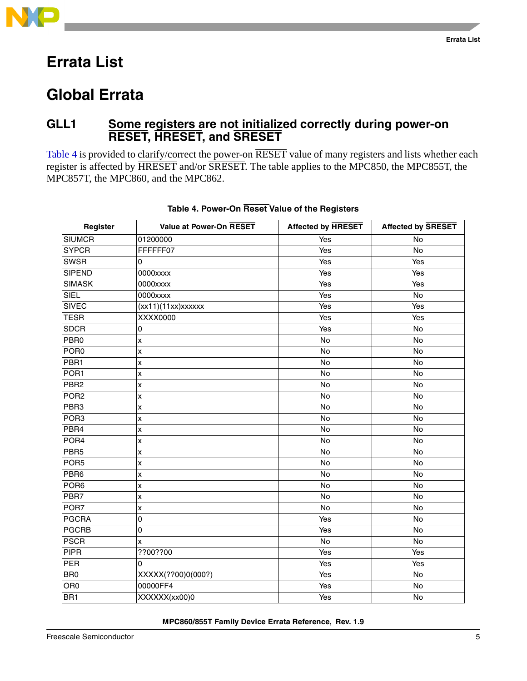

# **Errata List**

# **Global Errata**

## **GLL1 Some registers are not initialized correctly during power-on RESET, HRESET, and SRESET**

[Table 4](#page-4-0) is provided to clarify/correct the power-on RESET value of many registers and lists whether each register is affected by HRESET and/or SRESET. The table applies to the MPC850, the MPC855T, the MPC857T, the MPC860, and the MPC862.

<span id="page-4-0"></span>

| Register         | <b>Value at Power-On RESET</b> | <b>Affected by HRESET</b> | <b>Affected by SRESET</b> |
|------------------|--------------------------------|---------------------------|---------------------------|
| <b>SIUMCR</b>    | 01200000                       | Yes                       | <b>No</b>                 |
| <b>SYPCR</b>     | FFFFFF07                       | Yes                       | $\overline{N}$            |
| <b>SWSR</b>      | 0                              | Yes                       | Yes                       |
| <b>SIPEND</b>    | 0000xxxx                       | Yes                       | Yes                       |
| <b>SIMASK</b>    | 0000xxxx                       | Yes                       | Yes                       |
| <b>SIEL</b>      | 0000xxxx                       | Yes                       | $\overline{N_{0}}$        |
| <b>SIVEC</b>     | (xx11)(11xx)xxxxx              | Yes                       | Yes                       |
| <b>TESR</b>      | <b>XXXX0000</b>                | Yes                       | Yes                       |
| <b>SDCR</b>      | 0                              | Yes                       | No                        |
| PBR0             | $\pmb{\mathsf{x}}$             | No                        | No                        |
| POR <sub>0</sub> | $\pmb{\mathsf{x}}$             | No                        | No                        |
| PBR1             | $\boldsymbol{\mathsf{x}}$      | $\overline{N}$            | <b>No</b>                 |
| POR <sub>1</sub> | $\pmb{\mathsf{x}}$             | No                        | No                        |
| PBR <sub>2</sub> | $\pmb{\mathsf{x}}$             | No                        | No                        |
| POR <sub>2</sub> | $\pmb{\mathsf{x}}$             | No                        | No                        |
| PBR <sub>3</sub> | $\pmb{\mathsf{x}}$             | No                        | No                        |
| POR <sub>3</sub> | $\pmb{\mathsf{x}}$             | No                        | No                        |
| PBR4             | $\pmb{\mathsf{x}}$             | $\overline{N}$            | $\overline{N}$            |
| POR <sub>4</sub> | $\pmb{\mathsf{x}}$             | No                        | No                        |
| PBR <sub>5</sub> | $\pmb{\mathsf{x}}$             | No                        | No                        |
| POR <sub>5</sub> | $\pmb{\mathsf{x}}$             | No                        | No                        |
| PBR <sub>6</sub> | $\boldsymbol{\mathsf{x}}$      | No                        | <b>No</b>                 |
| POR <sub>6</sub> | $\boldsymbol{\mathsf{x}}$      | <b>No</b>                 | No                        |
| PBR7             | $\pmb{\mathsf{x}}$             | $\overline{N}$            | $\overline{N}$            |
| POR7             | $\pmb{\mathsf{x}}$             | No                        | No                        |
| <b>PGCRA</b>     | 0                              | Yes                       | No                        |
| <b>PGCRB</b>     | 0                              | Yes                       | No                        |
| <b>PSCR</b>      | x                              | No                        | No                        |
| <b>PIPR</b>      | ??00??00                       | Yes                       | Yes                       |
| PER              | 0                              | Yes                       | Yes                       |
| BR <sub>0</sub>  | XXXXX(??00)0(000?)             | Yes                       | <b>No</b>                 |
| OR <sub>0</sub>  | 00000FF4                       | Yes                       | No                        |
| BR <sub>1</sub>  | XXXXX(xx00)0                   | Yes                       | No                        |

#### **Table 4. Power-On Reset Value of the Registers**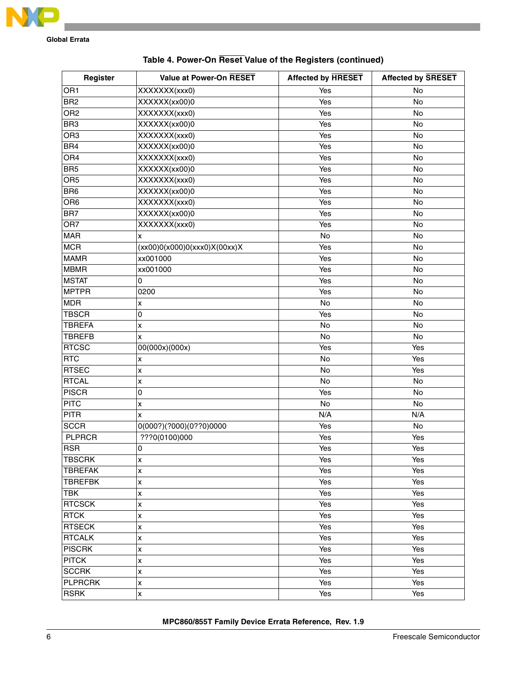

**Global Errata**

| Register        | Value at Power-On RESET      | Affected by HRESET | <b>Affected by SRESET</b> |
|-----------------|------------------------------|--------------------|---------------------------|
| OR <sub>1</sub> | XXXXXX(xxx0)                 | Yes                | No                        |
| BR <sub>2</sub> | XXXXX(xx00)0                 | Yes                | No                        |
| OR <sub>2</sub> | XXXXXX(xxx0)                 | Yes                | No                        |
| BR <sub>3</sub> | XXXXX(xx00)0                 | Yes                | No                        |
| OR3             | XXXXXX(xxx0)                 | Yes                | No                        |
| BR4             | XXXXX(xx00)0                 | Yes                | No                        |
| OR <sub>4</sub> | XXXXXX(xxx0)                 | <b>Yes</b>         | No                        |
| BR <sub>5</sub> | XXXXX(xx00)0                 | Yes                | No                        |
| OR <sub>5</sub> | XXXXXX(xxx0)                 | Yes                | No                        |
| BR <sub>6</sub> | XXXXX(xx00)0                 | Yes                | No                        |
| OR <sub>6</sub> | XXXXXX(xxx0)                 | Yes                | No                        |
| BR7             | XXXXX(xx00)0                 | Yes                | No                        |
| OR7             | XXXXXX(xxx0)                 | Yes                | No                        |
| <b>MAR</b>      | x                            | No                 | No                        |
| MCR             | (xx00)0(x000)0(xxx0)X(00xx)X | Yes                | No                        |
| <b>MAMR</b>     | xx001000                     | Yes                | No                        |
| <b>MBMR</b>     | xx001000                     | $\overline{Yes}$   | No                        |
| <b>MSTAT</b>    | $\mathsf{O}\xspace$          | Yes                | No                        |
| <b>MPTPR</b>    | 0200                         | <b>Yes</b>         | No                        |
| <b>MDR</b>      | X                            | No                 | No                        |
| <b>TBSCR</b>    | $\mathsf{O}\xspace$          | Yes                | No                        |
| <b>TBREFA</b>   | $\pmb{\mathsf{x}}$           | No                 | No                        |
| <b>TBREFB</b>   | $\pmb{\mathsf{x}}$           | No                 | No                        |
| <b>RTCSC</b>    | 00(000x)(000x)               | Yes                | Yes                       |
| RTC             | $\pmb{\mathsf{x}}$           | No                 | Yes                       |
| <b>RTSEC</b>    | $\pmb{\mathsf{x}}$           | No                 | Yes                       |
| <b>RTCAL</b>    | $\pmb{\mathsf{x}}$           | No                 | No                        |
| <b>PISCR</b>    | $\mathsf 0$                  | Yes                | No                        |
| <b>PITC</b>     | $\pmb{\mathsf{X}}$           | No                 | No                        |
| <b>PITR</b>     | X                            | N/A                | N/A                       |
| <b>SCCR</b>     | 0(000?)(?000)(0??0)0000      | Yes                | No                        |
| <b>PLPRCR</b>   | ???0(0100)000                | Yes                | Yes                       |
| <b>RSR</b>      | $\pmb{0}$                    | Yes                | Yes                       |
| <b>TBSCRK</b>   | x                            | Yes                | Yes                       |
| <b>TBREFAK</b>  | $\pmb{\mathsf{x}}$           | Yes                | Yes                       |
| <b>TBREFBK</b>  | $\pmb{\mathsf{X}}$           | Yes                | Yes                       |
| <b>TBK</b>      | $\pmb{\mathsf{X}}$           | Yes                | Yes                       |
| <b>RTCSCK</b>   | x                            | Yes                | Yes                       |
| <b>RTCK</b>     | $\pmb{\mathsf{X}}$           | Yes                | Yes                       |
| <b>RTSECK</b>   | x                            | Yes                | Yes                       |
| <b>RTCALK</b>   | $\pmb{\mathsf{x}}$           | Yes                | Yes                       |
| <b>PISCRK</b>   | $\pmb{\mathsf{x}}$           | Yes                | Yes                       |
| <b>PITCK</b>    | x                            | Yes                | Yes                       |
| <b>SCCRK</b>    | x                            | Yes                | Yes                       |
| <b>PLPRCRK</b>  | $\pmb{\mathsf{X}}$           | Yes                | Yes                       |
| <b>RSRK</b>     | $\pmb{\mathsf{X}}$           | Yes                | Yes                       |

### **Table 4. Power-On Reset Value of the Registers (continued)**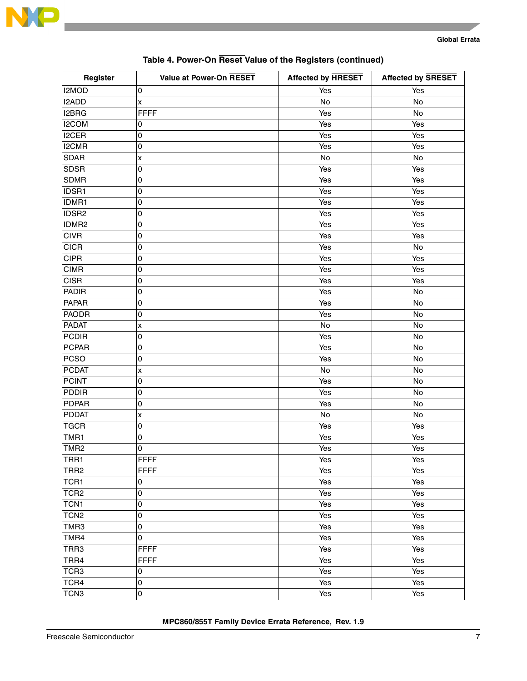

| Register          | Value at Power-On RESET | <b>Affected by HRESET</b> | <b>Affected by SRESET</b> |
|-------------------|-------------------------|---------------------------|---------------------------|
| I2MOD             | $\pmb{0}$               | Yes                       | Yes                       |
| I2ADD             | $\pmb{\mathsf{x}}$      | No                        | No                        |
| I2BRG             | <b>FFFF</b>             | Yes                       | No                        |
| I2COM             | $\pmb{0}$               | Yes                       | Yes                       |
| I2CER             | $\overline{0}$          | Yes                       | Yes                       |
| I2CMR             | $\mathsf 0$             | Yes                       | Yes                       |
| <b>SDAR</b>       | $\pmb{\mathsf{X}}$      | $\overline{N}$            | $\overline{N}$            |
| <b>SDSR</b>       | $\mathbf 0$             | Yes                       | Yes                       |
| <b>SDMR</b>       | $\mathsf 0$             | Yes                       | Yes                       |
| IDSR1             | 0                       | Yes                       | Yes                       |
| IDMR1             | $\pmb{0}$               | Yes                       | Yes                       |
| IDSR <sub>2</sub> | $\pmb{0}$               | Yes                       | Yes                       |
| IDMR <sub>2</sub> | $\pmb{0}$               | Yes                       | Yes                       |
| <b>CIVR</b>       | $\mathbf 0$             | Yes                       | Yes                       |
| <b>CICR</b>       | $\pmb{0}$               | Yes                       | No                        |
| <b>CIPR</b>       | $\mathbf 0$             | Yes                       | Yes                       |
| <b>CIMR</b>       | $\mathsf 0$             | Yes                       | Yes                       |
| <b>CISR</b>       | $\mathsf 0$             | Yes                       | Yes                       |
| <b>PADIR</b>      | $\mathsf 0$             | Yes                       | $\overline{N}$            |
| PAPAR             | $\mathbf 0$             | Yes                       | No                        |
| <b>PAODR</b>      | $\mathsf 0$             | Yes                       | No                        |
| <b>PADAT</b>      | $\pmb{\mathsf{x}}$      | No                        | No                        |
| <b>PCDIR</b>      | $\mathsf 0$             | Yes                       | No                        |
| <b>PCPAR</b>      | $\pmb{0}$               | Yes                       | No                        |
| <b>PCSO</b>       | $\pmb{0}$               | Yes                       | $\overline{N}$            |
| <b>PCDAT</b>      | $\pmb{\mathsf{x}}$      | No                        | No                        |
| <b>PCINT</b>      | $\mathsf 0$             | Yes                       | No                        |
| <b>PDDIR</b>      | $\mathbf 0$             | Yes                       | No                        |
| <b>PDPAR</b>      | $\mathsf 0$             | Yes                       | No                        |
| <b>PDDAT</b>      | $\pmb{\mathsf{x}}$      | No                        | No                        |
| <b>TGCR</b>       | $\pmb{0}$               | Yes                       | Yes                       |
| TMR1              | $\mathbf 0$             | Yes                       | Yes                       |
| TMR <sub>2</sub>  | $\pmb{0}$               | Yes                       | Yes                       |
| TRR1              | FFFF                    | Yes                       | Yes                       |
| TRR <sub>2</sub>  | <b>FFFF</b>             | Yes                       | Yes                       |
| TCR1              | 0                       | Yes                       | Yes                       |
| TCR <sub>2</sub>  | $\mathsf 0$             | Yes                       | Yes                       |
| TCN1              | $\mathsf 0$             | Yes                       | Yes                       |
| TCN <sub>2</sub>  | $\mathbf 0$             | Yes                       | Yes                       |
| TMR3              | $\mathbf 0$             | Yes                       | Yes                       |
| TMR4              | $\mathsf 0$             | Yes                       | Yes                       |
| TRR3              | <b>FFFF</b>             | Yes                       | Yes                       |
| TRR4              | <b>FFFF</b>             | Yes                       | Yes                       |
| TCR3              | $\mathsf 0$             | Yes                       | Yes                       |
| TCR4              | $\mathbf 0$             | Yes                       | Yes                       |
| TCN <sub>3</sub>  | $\mathsf 0$             | Yes                       | Yes                       |

### **Table 4. Power-On Reset Value of the Registers (continued)**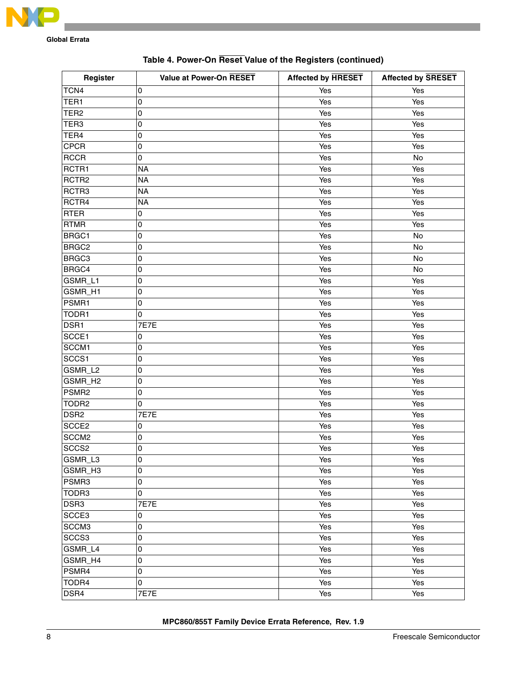

**Global Errata**

| Register          | Value at Power-On RESET | <b>Affected by HRESET</b> | <b>Affected by SRESET</b> |
|-------------------|-------------------------|---------------------------|---------------------------|
| TCN4              | 0                       | $\overline{Yes}$          | Yes                       |
| TER1              | $\mathsf{O}\xspace$     | Yes                       | Yes                       |
| TER <sub>2</sub>  | $\mathsf{O}\xspace$     | Yes                       | Yes                       |
| TER3              | 0                       | Yes                       | Yes                       |
| TER4              | 0                       | Yes                       | Yes                       |
| <b>CPCR</b>       | 0                       | Yes                       | Yes                       |
| <b>RCCR</b>       | 0                       | Yes                       | No                        |
| RCTR1             | <b>NA</b>               | Yes                       | Yes                       |
| RCTR <sub>2</sub> | <b>NA</b>               | Yes                       | Yes                       |
| RCTR3             | <b>NA</b>               | Yes                       | Yes                       |
| RCTR4             | N <sub>A</sub>          | Yes                       | Yes                       |
| <b>RTER</b>       | $\mathsf{O}\xspace$     | Yes                       | Yes                       |
| <b>RTMR</b>       | $\mathsf{O}\xspace$     | <b>Yes</b>                | Yes                       |
| BRGC1             | $\mathsf{O}\xspace$     | Yes                       | No                        |
| BRGC <sub>2</sub> | $\mathsf{O}\xspace$     | Yes                       | No                        |
| BRGC3             | $\mathsf{O}\xspace$     | Yes                       | No                        |
| BRGC4             | 0                       | Yes                       | $\overline{N}$            |
| GSMR_L1           | 0                       | Yes                       | Yes                       |
| GSMR_H1           | $\mathsf 0$             | Yes                       | Yes                       |
| PSMR1             | 0                       | Yes                       | Yes                       |
| TODR1             | 0                       | Yes                       | Yes                       |
| DSR1              | <b>7E7E</b>             | Yes                       | Yes                       |
| SCCE1             | 0                       | Yes                       | Yes                       |
| SCCM1             | $\mathsf 0$             | Yes                       | Yes                       |
| SCCS1             | $\overline{0}$          | Yes                       | Yes                       |
| GSMR_L2           | 0                       | Yes                       | Yes                       |
| GSMR_H2           | 0                       | Yes                       | Yes                       |
| PSMR <sub>2</sub> | $\mathsf{O}\xspace$     | <b>Yes</b>                | Yes                       |
| TODR <sub>2</sub> | 0                       | Yes                       | Yes                       |
| DSR <sub>2</sub>  | <b>7E7E</b>             | Yes                       | Yes                       |
| SCCE2             | 0                       | Yes                       | Yes                       |
| SCCM <sub>2</sub> | 0                       | Yes                       | Yes                       |
| SCCS <sub>2</sub> | $\overline{0}$          | Yes                       | Yes                       |
| GSMR_L3           | $\pmb{0}$               | Yes                       | Yes                       |
| GSMR_H3           | $\overline{0}$          | Yes                       | Yes                       |
| PSMR3             | 0                       | Yes                       | Yes                       |
| TODR3             | 0                       | Yes                       | Yes                       |
| DSR3              | <b>7E7E</b>             | Yes                       | Yes                       |
| SCCE3             | 0                       | Yes                       | Yes                       |
| SCCM3             | 0                       | Yes                       | Yes                       |
| SCCS3             | 0                       | Yes                       | Yes                       |
| GSMR_L4           | 0                       | Yes                       | Yes                       |
| GSMR_H4           | $\mathsf 0$             | Yes                       | Yes                       |
| PSMR4             | $\mathsf{O}\xspace$     | Yes                       | Yes                       |
| TODR4             | 0                       | Yes                       | Yes                       |
| DSR4              | <b>7E7E</b>             | Yes                       | Yes                       |

### **Table 4. Power-On Reset Value of the Registers (continued)**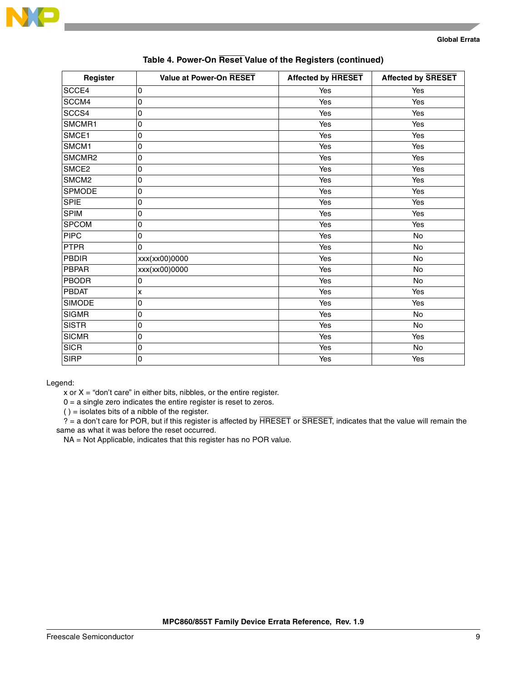

| Register          | Value at Power-On RESET | <b>Affected by HRESET</b> | Affected by SRESET |
|-------------------|-------------------------|---------------------------|--------------------|
| SCCE4             | 0                       | Yes                       | Yes                |
| SCCM4             | $\mathbf 0$             | Yes                       | Yes                |
| SCCS4             | $\mathsf{O}\xspace$     | Yes                       | Yes                |
| SMCMR1            | 0                       | Yes                       | Yes                |
| SMCE1             | $\overline{0}$          | Yes                       | Yes                |
| SMCM1             | $\mathsf 0$             | Yes                       | Yes                |
| SMCMR2            | $\mathbf 0$             | Yes                       | Yes                |
| SMCE2             | 0                       | Yes                       | Yes                |
| SMCM <sub>2</sub> | 0                       | Yes                       | Yes                |
| SPMODE            | 0                       | Yes                       | Yes                |
| <b>SPIE</b>       | 0                       | Yes                       | Yes                |
| <b>SPIM</b>       | $\mathsf{O}\xspace$     | Yes                       | Yes                |
| <b>SPCOM</b>      | 0                       | Yes                       | Yes                |
| <b>PIPC</b>       | $\mathbf 0$             | Yes                       | No                 |
| <b>PTPR</b>       | 0                       | Yes                       | No                 |
| <b>PBDIR</b>      | xxx(xx00)0000           | Yes                       | No                 |
| PBPAR             | xxx(xx00)0000           | Yes                       | No                 |
| <b>PBODR</b>      | 0                       | Yes                       | <b>No</b>          |
| PBDAT             | X                       | Yes                       | Yes                |
| <b>SIMODE</b>     | 0                       | Yes                       | Yes                |
| <b>SIGMR</b>      | $\mathsf 0$             | Yes                       | No                 |
| <b>SISTR</b>      | $\mathbf 0$             | Yes                       | No                 |
| <b>SICMR</b>      | 0                       | Yes                       | Yes                |
| <b>SICR</b>       | $\mathbf 0$             | Yes                       | No                 |
| <b>SIRP</b>       | $\overline{0}$          | Yes                       | Yes                |

#### **Table 4. Power-On Reset Value of the Registers (continued)**

Legend:

 $x$  or  $X =$  "don't care" in either bits, nibbles, or the entire register.

 $0 = a$  single zero indicates the entire register is reset to zeros.

 $( ) =$  isolates bits of a nibble of the register.

 $? = a$  don't care for POR, but if this register is affected by  $H{\text{HESET}}$  or  $\overline{\text{SREF}}$ , indicates that the value will remain the same as what it was before the reset occurred.

NA = Not Applicable, indicates that this register has no POR value.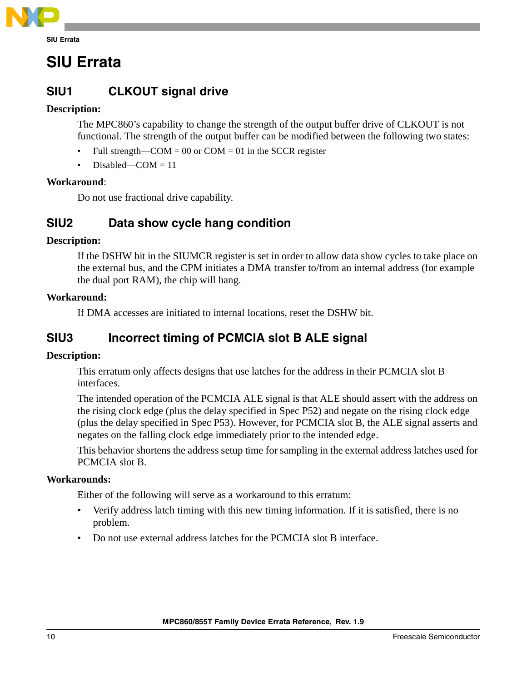

# **SIU Errata**

## **SIU1 CLKOUT signal drive**

### **Description:**

The MPC860's capability to change the strength of the output buffer drive of CLKOUT is not functional. The strength of the output buffer can be modified between the following two states:

- Full strength—COM =  $00$  or COM =  $01$  in the SCCR register
- $Disable d$   $-COM = 11$

### **Workaround**:

Do not use fractional drive capability.

## **SIU2 Data show cycle hang condition**

#### **Description:**

If the DSHW bit in the SIUMCR register is set in order to allow data show cycles to take place on the external bus, and the CPM initiates a DMA transfer to/from an internal address (for example the dual port RAM), the chip will hang.

#### **Workaround:**

If DMA accesses are initiated to internal locations, reset the DSHW bit.

## **SIU3 Incorrect timing of PCMCIA slot B ALE signal**

#### **Description:**

This erratum only affects designs that use latches for the address in their PCMCIA slot B interfaces.

The intended operation of the PCMCIA ALE signal is that ALE should assert with the address on the rising clock edge (plus the delay specified in Spec P52) and negate on the rising clock edge (plus the delay specified in Spec P53). However, for PCMCIA slot B, the ALE signal asserts and negates on the falling clock edge immediately prior to the intended edge.

This behavior shortens the address setup time for sampling in the external address latches used for PCMCIA slot B.

#### **Workarounds:**

Either of the following will serve as a workaround to this erratum:

- Verify address latch timing with this new timing information. If it is satisfied, there is no problem.
- Do not use external address latches for the PCMCIA slot B interface.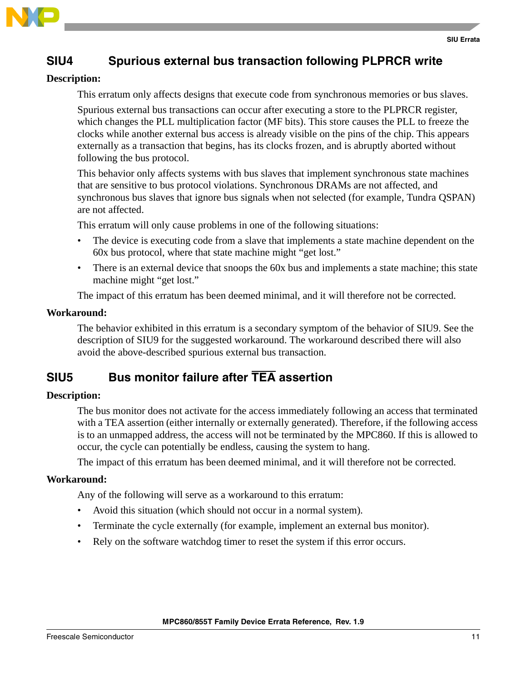

## **SIU4 Spurious external bus transaction following PLPRCR write**

#### **Description:**

This erratum only affects designs that execute code from synchronous memories or bus slaves.

Spurious external bus transactions can occur after executing a store to the PLPRCR register, which changes the PLL multiplication factor (MF bits). This store causes the PLL to freeze the clocks while another external bus access is already visible on the pins of the chip. This appears externally as a transaction that begins, has its clocks frozen, and is abruptly aborted without following the bus protocol.

This behavior only affects systems with bus slaves that implement synchronous state machines that are sensitive to bus protocol violations. Synchronous DRAMs are not affected, and synchronous bus slaves that ignore bus signals when not selected (for example, Tundra QSPAN) are not affected.

This erratum will only cause problems in one of the following situations:

- The device is executing code from a slave that implements a state machine dependent on the 60x bus protocol, where that state machine might "get lost."
- There is an external device that snoops the 60x bus and implements a state machine; this state machine might "get lost."

The impact of this erratum has been deemed minimal, and it will therefore not be corrected.

#### **Workaround:**

The behavior exhibited in this erratum is a secondary symptom of the behavior of SIU9. See the description of SIU9 for the suggested workaround. The workaround described there will also avoid the above-described spurious external bus transaction.

## **SIU5 Bus monitor failure after TEA assertion**

#### **Description:**

The bus monitor does not activate for the access immediately following an access that terminated with a TEA assertion (either internally or externally generated). Therefore, if the following access is to an unmapped address, the access will not be terminated by the MPC860. If this is allowed to occur, the cycle can potentially be endless, causing the system to hang.

The impact of this erratum has been deemed minimal, and it will therefore not be corrected.

#### **Workaround:**

Any of the following will serve as a workaround to this erratum:

- Avoid this situation (which should not occur in a normal system).
- Terminate the cycle externally (for example, implement an external bus monitor).
- Rely on the software watchdog timer to reset the system if this error occurs.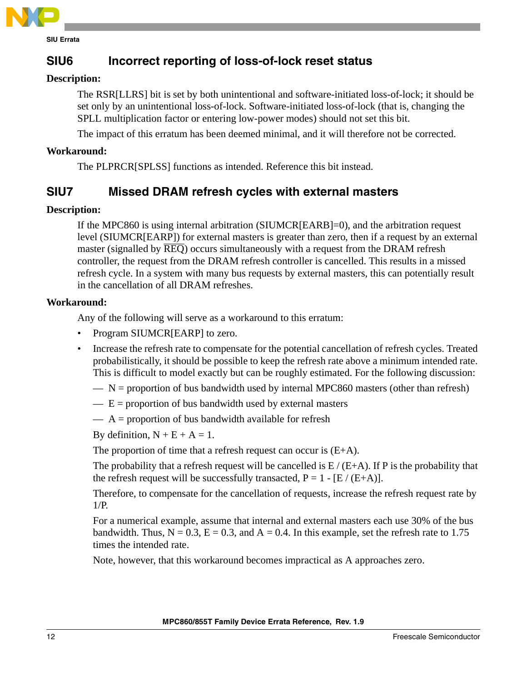

**SIU Errata**

## **SIU6 Incorrect reporting of loss-of-lock reset status**

## **Description:**

The RSR[LLRS] bit is set by both unintentional and software-initiated loss-of-lock; it should be set only by an unintentional loss-of-lock. Software-initiated loss-of-lock (that is, changing the SPLL multiplication factor or entering low-power modes) should not set this bit.

The impact of this erratum has been deemed minimal, and it will therefore not be corrected.

### **Workaround:**

The PLPRCR[SPLSS] functions as intended. Reference this bit instead.

## **SIU7 Missed DRAM refresh cycles with external masters**

### **Description:**

If the MPC860 is using internal arbitration (SIUMCR[EARB]=0), and the arbitration request level (SIUMCR[EARP]) for external masters is greater than zero, then if a request by an external master (signalled by  $\overline{RED}$ ) occurs simultaneously with a request from the DRAM refresh controller, the request from the DRAM refresh controller is cancelled. This results in a missed refresh cycle. In a system with many bus requests by external masters, this can potentially result in the cancellation of all DRAM refreshes.

### **Workaround:**

Any of the following will serve as a workaround to this erratum:

- Program SIUMCR[EARP] to zero.
- Increase the refresh rate to compensate for the potential cancellation of refresh cycles. Treated probabilistically, it should be possible to keep the refresh rate above a minimum intended rate. This is difficult to model exactly but can be roughly estimated. For the following discussion:
	- $\sim N$  = proportion of bus bandwidth used by internal MPC860 masters (other than refresh)
	- $\overline{E}$  = proportion of bus bandwidth used by external masters
	- $\overline{A}$  = proportion of bus bandwidth available for refresh

By definition,  $N + E + A = 1$ .

The proportion of time that a refresh request can occur is  $(E+A)$ .

The probability that a refresh request will be cancelled is  $E / (E+A)$ . If P is the probability that the refresh request will be successfully transacted,  $P = 1 - [E/(E+A)].$ 

Therefore, to compensate for the cancellation of requests, increase the refresh request rate by 1/P.

For a numerical example, assume that internal and external masters each use 30% of the bus bandwidth. Thus,  $N = 0.3$ ,  $E = 0.3$ , and  $A = 0.4$ . In this example, set the refresh rate to 1.75 times the intended rate.

Note, however, that this workaround becomes impractical as A approaches zero.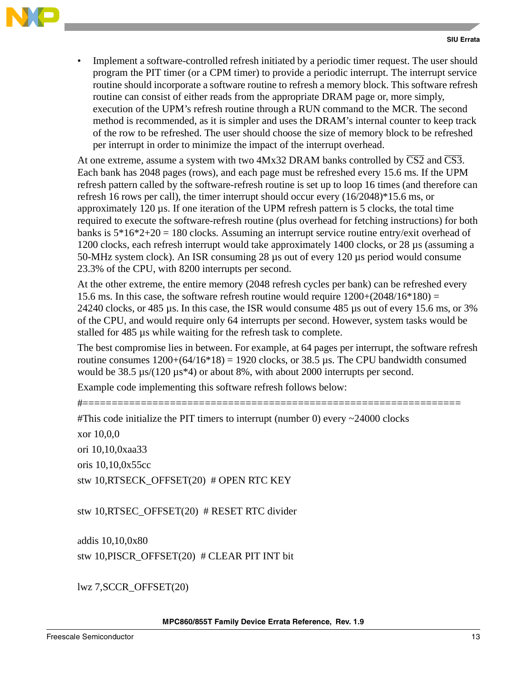

• Implement a software-controlled refresh initiated by a periodic timer request. The user should program the PIT timer (or a CPM timer) to provide a periodic interrupt. The interrupt service routine should incorporate a software routine to refresh a memory block. This software refresh routine can consist of either reads from the appropriate DRAM page or, more simply, execution of the UPM's refresh routine through a RUN command to the MCR. The second method is recommended, as it is simpler and uses the DRAM's internal counter to keep track of the row to be refreshed. The user should choose the size of memory block to be refreshed per interrupt in order to minimize the impact of the interrupt overhead.

At one extreme, assume a system with two 4Mx32 DRAM banks controlled by  $\overline{CS2}$  and  $\overline{CS3}$ . Each bank has 2048 pages (rows), and each page must be refreshed every 15.6 ms. If the UPM refresh pattern called by the software-refresh routine is set up to loop 16 times (and therefore can refresh 16 rows per call), the timer interrupt should occur every (16/2048)\*15.6 ms, or approximately  $120 \mu s$ . If one iteration of the UPM refresh pattern is 5 clocks, the total time required to execute the software-refresh routine (plus overhead for fetching instructions) for both banks is  $5*16*2+20 = 180$  clocks. Assuming an interrupt service routine entry/exit overhead of 1200 clocks, each refresh interrupt would take approximately 1400 clocks, or 28 µs (assuming a 50-MHz system clock). An ISR consuming 28 µs out of every 120 µs period would consume 23.3% of the CPU, with 8200 interrupts per second.

At the other extreme, the entire memory (2048 refresh cycles per bank) can be refreshed every 15.6 ms. In this case, the software refresh routine would require  $1200+(2048/16*180) =$ 24240 clocks, or 485 µs. In this case, the ISR would consume 485 µs out of every 15.6 ms, or 3% of the CPU, and would require only 64 interrupts per second. However, system tasks would be stalled for 485 µs while waiting for the refresh task to complete.

The best compromise lies in between. For example, at 64 pages per interrupt, the software refresh routine consumes  $1200+(64/16*18) = 1920$  clocks, or 38.5 µs. The CPU bandwidth consumed would be  $38.5 \mu s/(120 \mu s^*4)$  or about 8%, with about 2000 interrupts per second.

Example code implementing this software refresh follows below:

#=================================================================

#This code initialize the PIT timers to interrupt (number 0) every ~24000 clocks

xor 10,0,0 ori 10,10,0xaa33 oris 10,10,0x55cc stw 10,RTSECK\_OFFSET(20) # OPEN RTC KEY

stw 10,RTSEC\_OFFSET(20) # RESET RTC divider

addis 10,10,0x80 stw 10,PISCR\_OFFSET(20) # CLEAR PIT INT bit

lwz 7,SCCR\_OFFSET(20)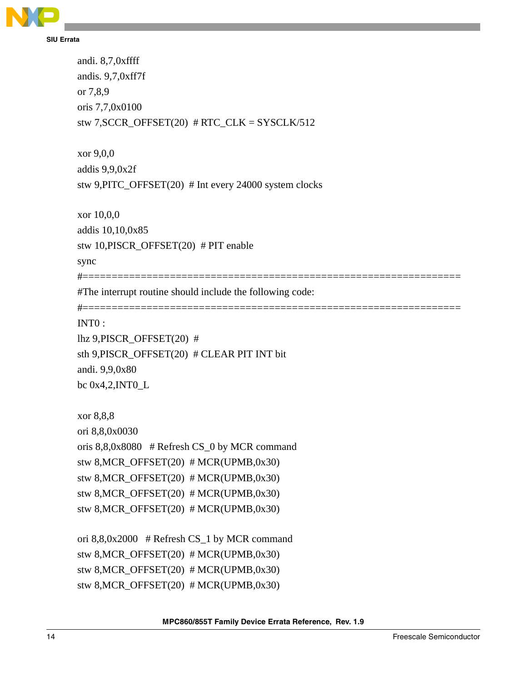

```
andi. 8,7,0xffff
andis. 9,7,0xff7f
or 7,8,9
oris 7,7,0x0100
stw 7, SCCR_OFFSET(20) # RTC_CLK = SYSCLK/512
xor 9,0,0
addis 9,9,0x2f
stw 9,PITC_OFFSET(20) # Int every 24000 system clocks
xor 10,0,0
addis 10,10,0x85
stw 10,PISCR_OFFSET(20) # PIT enable
sync
#=================================================================
#The interrupt routine should include the following code:
#=================================================================
INT0 :
lhz 9,PISCR_OFFSET(20) #
sth 9,PISCR_OFFSET(20) # CLEAR PIT INT bit
andi. 9,9,0x80
bc 0x4,2,INT0_L
xor 8,8,8
ori 8,8,0x0030
oris 8,8,0x8080 # Refresh CS_0 by MCR command
stw 8,MCR_OFFSET(20) # MCR(UPMB,0x30)
stw 8,MCR_OFFSET(20) # MCR(UPMB,0x30)
stw 8,MCR_OFFSET(20) # MCR(UPMB,0x30)
stw 8,MCR_OFFSET(20) # MCR(UPMB,0x30)
ori 8,8,0x2000 # Refresh CS_1 by MCR command
stw 8,MCR_OFFSET(20) # MCR(UPMB,0x30)
stw 8,MCR_OFFSET(20) # MCR(UPMB,0x30)
stw 8,MCR_OFFSET(20) # MCR(UPMB,0x30)
```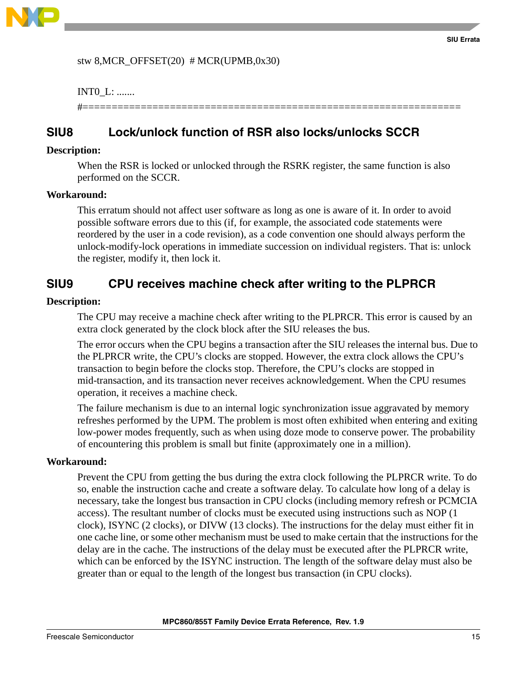

stw  $8, MCR\_OFFSET(20)$  # MCR(UPMB, $0x30$ )

| $\mathbf{I}$<br>11 Y<br>.<br>. |
|--------------------------------|
| _________                      |

## **SIU8 Lock/unlock function of RSR also locks/unlocks SCCR**

#### **Description:**

When the RSR is locked or unlocked through the RSRK register, the same function is also performed on the SCCR.

#### **Workaround:**

This erratum should not affect user software as long as one is aware of it. In order to avoid possible software errors due to this (if, for example, the associated code statements were reordered by the user in a code revision), as a code convention one should always perform the unlock-modify-lock operations in immediate succession on individual registers. That is: unlock the register, modify it, then lock it.

## **SIU9 CPU receives machine check after writing to the PLPRCR**

#### **Description:**

The CPU may receive a machine check after writing to the PLPRCR. This error is caused by an extra clock generated by the clock block after the SIU releases the bus.

The error occurs when the CPU begins a transaction after the SIU releases the internal bus. Due to the PLPRCR write, the CPU's clocks are stopped. However, the extra clock allows the CPU's transaction to begin before the clocks stop. Therefore, the CPU's clocks are stopped in mid-transaction, and its transaction never receives acknowledgement. When the CPU resumes operation, it receives a machine check.

The failure mechanism is due to an internal logic synchronization issue aggravated by memory refreshes performed by the UPM. The problem is most often exhibited when entering and exiting low-power modes frequently, such as when using doze mode to conserve power. The probability of encountering this problem is small but finite (approximately one in a million).

#### **Workaround:**

Prevent the CPU from getting the bus during the extra clock following the PLPRCR write. To do so, enable the instruction cache and create a software delay. To calculate how long of a delay is necessary, take the longest bus transaction in CPU clocks (including memory refresh or PCMCIA access). The resultant number of clocks must be executed using instructions such as NOP (1 clock), ISYNC (2 clocks), or DIVW (13 clocks). The instructions for the delay must either fit in one cache line, or some other mechanism must be used to make certain that the instructions for the delay are in the cache. The instructions of the delay must be executed after the PLPRCR write, which can be enforced by the ISYNC instruction. The length of the software delay must also be greater than or equal to the length of the longest bus transaction (in CPU clocks).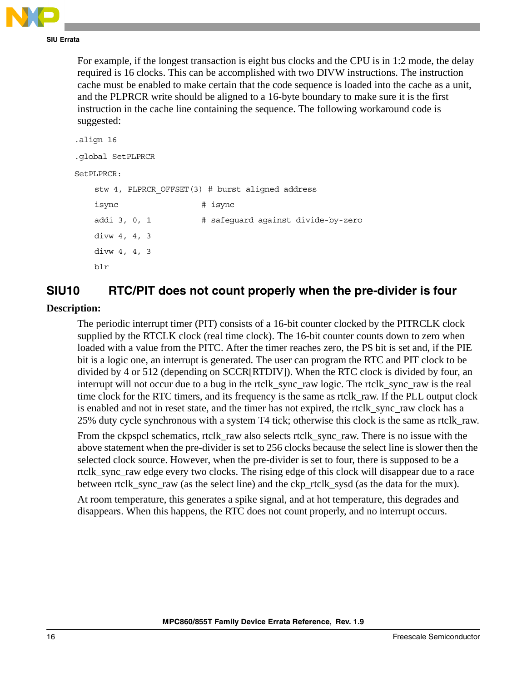

For example, if the longest transaction is eight bus clocks and the CPU is in 1:2 mode, the delay required is 16 clocks. This can be accomplished with two DIVW instructions. The instruction cache must be enabled to make certain that the code sequence is loaded into the cache as a unit, and the PLPRCR write should be aligned to a 16-byte boundary to make sure it is the first instruction in the cache line containing the sequence. The following workaround code is suggested:

```
.align 16
.global SetPLPRCR
SetPLPRCR:
   stw 4, PLPRCR_OFFSET(3) # burst aligned address
   isync # isync
   addi 3, 0, 1 # safeguard against divide-by-zero
   divw 4, 4, 3
   divw 4, 4, 3
   blr
```
## **SIU10 RTC/PIT does not count properly when the pre-divider is four**

#### **Description:**

The periodic interrupt timer (PIT) consists of a 16-bit counter clocked by the PITRCLK clock supplied by the RTCLK clock (real time clock). The 16-bit counter counts down to zero when loaded with a value from the PITC. After the timer reaches zero, the PS bit is set and, if the PIE bit is a logic one, an interrupt is generated. The user can program the RTC and PIT clock to be divided by 4 or 512 (depending on SCCR[RTDIV]). When the RTC clock is divided by four, an interrupt will not occur due to a bug in the rtclk sync raw logic. The rtclk sync raw is the real time clock for the RTC timers, and its frequency is the same as rtclk\_raw. If the PLL output clock is enabled and not in reset state, and the timer has not expired, the rtclk sync raw clock has a 25% duty cycle synchronous with a system T4 tick; otherwise this clock is the same as rtclk\_raw.

From the ckpspcl schematics, rtclk\_raw also selects rtclk\_sync\_raw. There is no issue with the above statement when the pre-divider is set to 256 clocks because the select line is slower then the selected clock source. However, when the pre-divider is set to four, there is supposed to be a rtclk\_sync\_raw edge every two clocks. The rising edge of this clock will disappear due to a race between rtclk\_sync\_raw (as the select line) and the ckp\_rtclk\_sysd (as the data for the mux).

At room temperature, this generates a spike signal, and at hot temperature, this degrades and disappears. When this happens, the RTC does not count properly, and no interrupt occurs.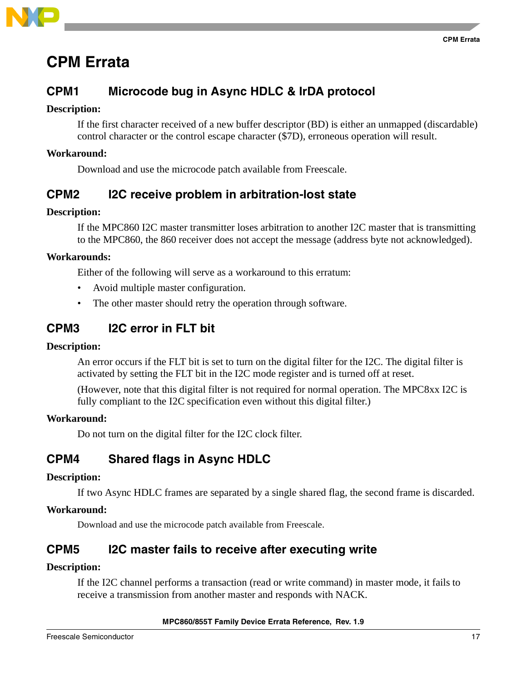

## **CPM Errata**

## **CPM1 Microcode bug in Async HDLC & IrDA protocol**

#### **Description:**

If the first character received of a new buffer descriptor (BD) is either an unmapped (discardable) control character or the control escape character (\$7D), erroneous operation will result.

#### **Workaround:**

Download and use the microcode patch available from Freescale.

## **CPM2 I2C receive problem in arbitration-lost state**

#### **Description:**

If the MPC860 I2C master transmitter loses arbitration to another I2C master that is transmitting to the MPC860, the 860 receiver does not accept the message (address byte not acknowledged).

#### **Workarounds:**

Either of the following will serve as a workaround to this erratum:

- Avoid multiple master configuration.
- The other master should retry the operation through software.

## **CPM3 I2C error in FLT bit**

#### **Description:**

An error occurs if the FLT bit is set to turn on the digital filter for the I2C. The digital filter is activated by setting the FLT bit in the I2C mode register and is turned off at reset.

(However, note that this digital filter is not required for normal operation. The MPC8xx I2C is fully compliant to the I2C specification even without this digital filter.)

#### **Workaround:**

Do not turn on the digital filter for the I2C clock filter.

## **CPM4 Shared flags in Async HDLC**

#### **Description:**

If two Async HDLC frames are separated by a single shared flag, the second frame is discarded.

#### **Workaround:**

Download and use the microcode patch available from Freescale.

## **CPM5 I2C master fails to receive after executing write**

#### **Description:**

If the I2C channel performs a transaction (read or write command) in master mode, it fails to receive a transmission from another master and responds with NACK.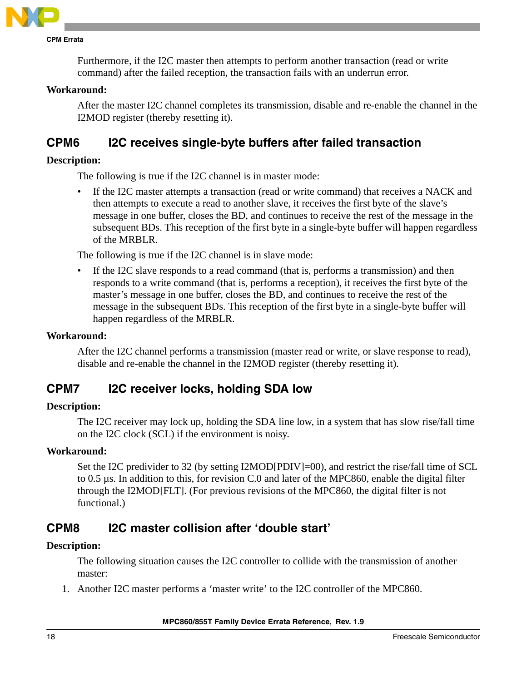

**CPM Errata**

Furthermore, if the I2C master then attempts to perform another transaction (read or write command) after the failed reception, the transaction fails with an underrun error.

#### **Workaround:**

After the master I2C channel completes its transmission, disable and re-enable the channel in the I2MOD register (thereby resetting it).

## **CPM6 I2C receives single-byte buffers after failed transaction**

## **Description:**

The following is true if the I2C channel is in master mode:

• If the I2C master attempts a transaction (read or write command) that receives a NACK and then attempts to execute a read to another slave, it receives the first byte of the slave's message in one buffer, closes the BD, and continues to receive the rest of the message in the subsequent BDs. This reception of the first byte in a single-byte buffer will happen regardless of the MRBLR.

The following is true if the I2C channel is in slave mode:

If the I2C slave responds to a read command (that is, performs a transmission) and then responds to a write command (that is, performs a reception), it receives the first byte of the master's message in one buffer, closes the BD, and continues to receive the rest of the message in the subsequent BDs. This reception of the first byte in a single-byte buffer will happen regardless of the MRBLR.

#### **Workaround:**

After the I2C channel performs a transmission (master read or write, or slave response to read), disable and re-enable the channel in the I2MOD register (thereby resetting it).

## **CPM7 I2C receiver locks, holding SDA low**

#### **Description:**

The I2C receiver may lock up, holding the SDA line low, in a system that has slow rise/fall time on the I2C clock (SCL) if the environment is noisy.

#### **Workaround:**

Set the I2C predivider to 32 (by setting I2MOD[PDIV]=00), and restrict the rise/fall time of SCL to 0.5 µs. In addition to this, for revision C.0 and later of the MPC860, enable the digital filter through the I2MOD[FLT]. (For previous revisions of the MPC860, the digital filter is not functional.)

## **CPM8 I2C master collision after 'double start'**

#### **Description:**

The following situation causes the I2C controller to collide with the transmission of another master:

1. Another I2C master performs a 'master write' to the I2C controller of the MPC860.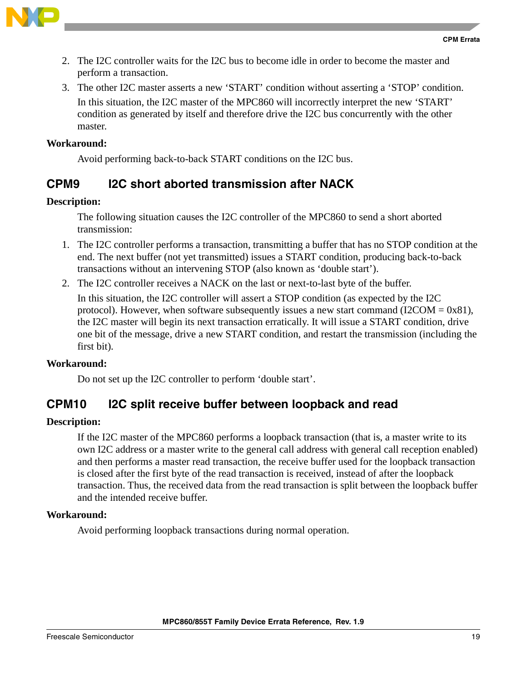

- 2. The I2C controller waits for the I2C bus to become idle in order to become the master and perform a transaction.
- 3. The other I2C master asserts a new 'START' condition without asserting a 'STOP' condition. In this situation, the I2C master of the MPC860 will incorrectly interpret the new 'START' condition as generated by itself and therefore drive the I2C bus concurrently with the other master.

#### **Workaround:**

Avoid performing back-to-back START conditions on the I2C bus.

## **CPM9 I2C short aborted transmission after NACK**

#### **Description:**

The following situation causes the I2C controller of the MPC860 to send a short aborted transmission:

- 1. The I2C controller performs a transaction, transmitting a buffer that has no STOP condition at the end. The next buffer (not yet transmitted) issues a START condition, producing back-to-back transactions without an intervening STOP (also known as 'double start').
- 2. The I2C controller receives a NACK on the last or next-to-last byte of the buffer.

In this situation, the I2C controller will assert a STOP condition (as expected by the I2C protocol). However, when software subsequently issues a new start command (I2COM =  $0x81$ ), the I2C master will begin its next transaction erratically. It will issue a START condition, drive one bit of the message, drive a new START condition, and restart the transmission (including the first bit).

#### **Workaround:**

Do not set up the I2C controller to perform 'double start'.

## **CPM10 I2C split receive buffer between loopback and read**

#### **Description:**

If the I2C master of the MPC860 performs a loopback transaction (that is, a master write to its own I2C address or a master write to the general call address with general call reception enabled) and then performs a master read transaction, the receive buffer used for the loopback transaction is closed after the first byte of the read transaction is received, instead of after the loopback transaction. Thus, the received data from the read transaction is split between the loopback buffer and the intended receive buffer.

#### **Workaround:**

Avoid performing loopback transactions during normal operation.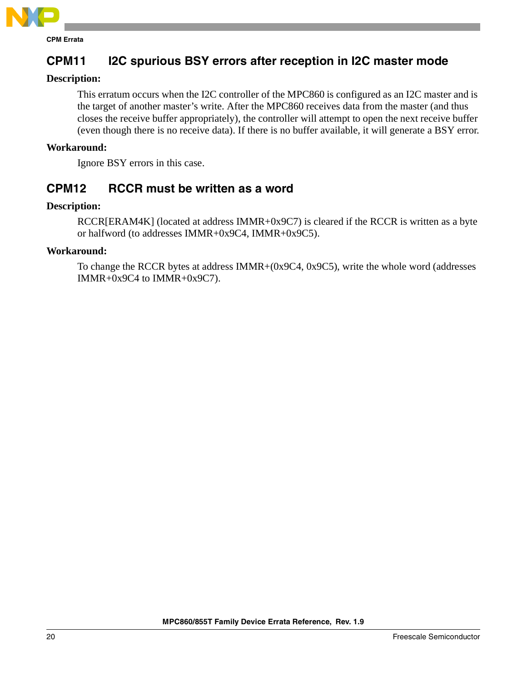

**CPM Errata**

## **CPM11 I2C spurious BSY errors after reception in I2C master mode**

### **Description:**

This erratum occurs when the I2C controller of the MPC860 is configured as an I2C master and is the target of another master's write. After the MPC860 receives data from the master (and thus closes the receive buffer appropriately), the controller will attempt to open the next receive buffer (even though there is no receive data). If there is no buffer available, it will generate a BSY error.

#### **Workaround:**

Ignore BSY errors in this case.

## **CPM12 RCCR must be written as a word**

#### **Description:**

RCCR[ERAM4K] (located at address IMMR+0x9C7) is cleared if the RCCR is written as a byte or halfword (to addresses IMMR+0x9C4, IMMR+0x9C5).

#### **Workaround:**

To change the RCCR bytes at address IMMR+(0x9C4, 0x9C5), write the whole word (addresses IMMR+0x9C4 to IMMR+0x9C7).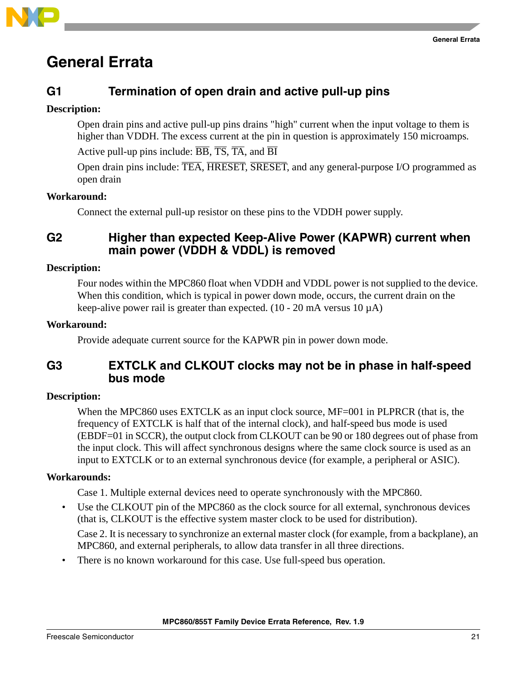

# **General Errata**

## **G1 Termination of open drain and active pull-up pins**

#### **Description:**

Open drain pins and active pull-up pins drains "high" current when the input voltage to them is higher than VDDH. The excess current at the pin in question is approximately 150 microamps.

Active pull-up pins include:  $\overline{BB}$ ,  $\overline{TS}$ ,  $\overline{TA}$ , and  $\overline{BI}$ 

Open drain pins include: TEA, HRESET, SRESET, and any general-purpose I/O programmed as open drain

#### **Workaround:**

Connect the external pull-up resistor on these pins to the VDDH power supply.

## **G2 Higher than expected Keep-Alive Power (KAPWR) current when main power (VDDH & VDDL) is removed**

#### **Description:**

Four nodes within the MPC860 float when VDDH and VDDL power is not supplied to the device. When this condition, which is typical in power down mode, occurs, the current drain on the keep-alive power rail is greater than expected.  $(10 - 20 \text{ mA} \text{ versus } 10 \text{ }\mu\text{A})$ 

#### **Workaround:**

Provide adequate current source for the KAPWR pin in power down mode.

## **G3 EXTCLK and CLKOUT clocks may not be in phase in half-speed bus mode**

#### **Description:**

When the MPC860 uses EXTCLK as an input clock source, MF=001 in PLPRCR (that is, the frequency of EXTCLK is half that of the internal clock), and half-speed bus mode is used (EBDF=01 in SCCR), the output clock from CLKOUT can be 90 or 180 degrees out of phase from the input clock. This will affect synchronous designs where the same clock source is used as an input to EXTCLK or to an external synchronous device (for example, a peripheral or ASIC).

#### **Workarounds:**

Case 1. Multiple external devices need to operate synchronously with the MPC860.

Use the CLKOUT pin of the MPC860 as the clock source for all external, synchronous devices (that is, CLKOUT is the effective system master clock to be used for distribution).

Case 2. It is necessary to synchronize an external master clock (for example, from a backplane), an MPC860, and external peripherals, to allow data transfer in all three directions.

• There is no known workaround for this case. Use full-speed bus operation.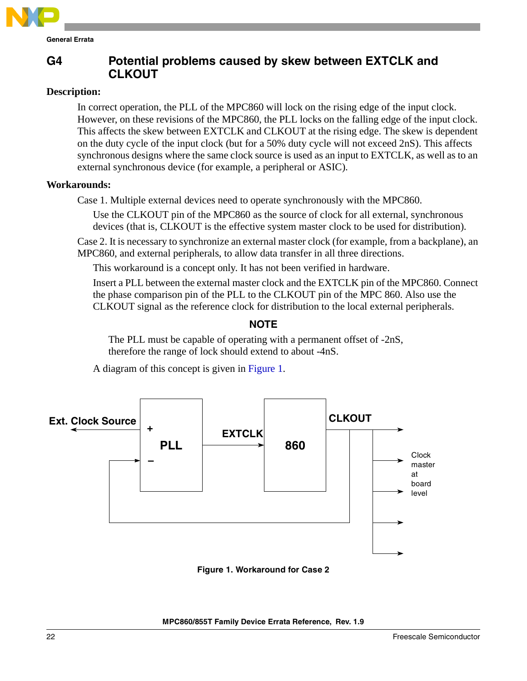

**General Errata**

## **G4 Potential problems caused by skew between EXTCLK and CLKOUT**

#### **Description:**

In correct operation, the PLL of the MPC860 will lock on the rising edge of the input clock. However, on these revisions of the MPC860, the PLL locks on the falling edge of the input clock. This affects the skew between EXTCLK and CLKOUT at the rising edge. The skew is dependent on the duty cycle of the input clock (but for a 50% duty cycle will not exceed 2nS). This affects synchronous designs where the same clock source is used as an input to EXTCLK, as well as to an external synchronous device (for example, a peripheral or ASIC).

#### **Workarounds:**

Case 1. Multiple external devices need to operate synchronously with the MPC860.

Use the CLKOUT pin of the MPC860 as the source of clock for all external, synchronous devices (that is, CLKOUT is the effective system master clock to be used for distribution).

Case 2. It is necessary to synchronize an external master clock (for example, from a backplane), an MPC860, and external peripherals, to allow data transfer in all three directions.

This workaround is a concept only. It has not been verified in hardware.

Insert a PLL between the external master clock and the EXTCLK pin of the MPC860. Connect the phase comparison pin of the PLL to the CLKOUT pin of the MPC 860. Also use the CLKOUT signal as the reference clock for distribution to the local external peripherals.

### **NOTE**

The PLL must be capable of operating with a permanent offset of -2nS, therefore the range of lock should extend to about -4nS.

A diagram of this concept is given in [Figure 1.](#page-21-0)



<span id="page-21-0"></span>**Figure 1. Workaround for Case 2**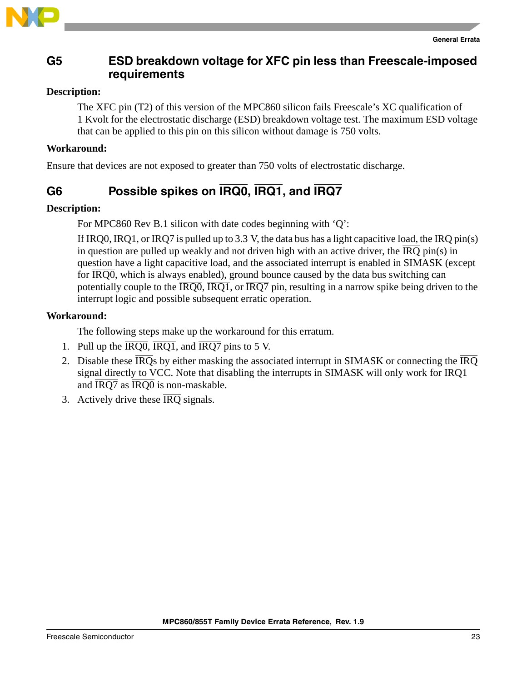

## **G5 ESD breakdown voltage for XFC pin less than Freescale-imposed requirements**

#### **Description:**

The XFC pin (T2) of this version of the MPC860 silicon fails Freescale's XC qualification of 1 Kvolt for the electrostatic discharge (ESD) breakdown voltage test. The maximum ESD voltage that can be applied to this pin on this silicon without damage is 750 volts.

#### **Workaround:**

Ensure that devices are not exposed to greater than 750 volts of electrostatic discharge.

## **G6 Possible spikes on IRQ0, IRQ1, and IRQ7**

#### **Description:**

For MPC860 Rev B.1 silicon with date codes beginning with 'Q':

If  $\overline{IRQ0}$ ,  $\overline{IRQ1}$ , or  $\overline{IRQ7}$  is pulled up to 3.3 V, the data bus has a light capacitive load, the  $\overline{IRQ}$  pin(s) in question are pulled up weakly and not driven high with an active driver, the  $\overline{IRQ}$  pin(s) in question have a light capacitive load, and the associated interrupt is enabled in SIMASK (except for  $\overline{RQ0}$ , which is always enabled), ground bounce caused by the data bus switching can potentially couple to the  $\overline{IRQ0}$ ,  $\overline{IRQ1}$ , or  $\overline{IRQ7}$  pin, resulting in a narrow spike being driven to the interrupt logic and possible subsequent erratic operation.

#### **Workaround:**

The following steps make up the workaround for this erratum.

- 1. Pull up the  $\overline{IRQ0}$ ,  $\overline{IRQ1}$ , and  $\overline{IRQ7}$  pins to 5 V.
- 2. Disable these  $\overline{IRQ}$ s by either masking the associated interrupt in SIMASK or connecting the  $\overline{IRQ}$ signal directly to VCC. Note that disabling the interrupts in SIMASK will only work for  $\overline{IRQ1}$ and  $\overline{IRO7}$  as  $\overline{IRO0}$  is non-maskable.
- 3. Actively drive these  $\overline{IRO}$  signals.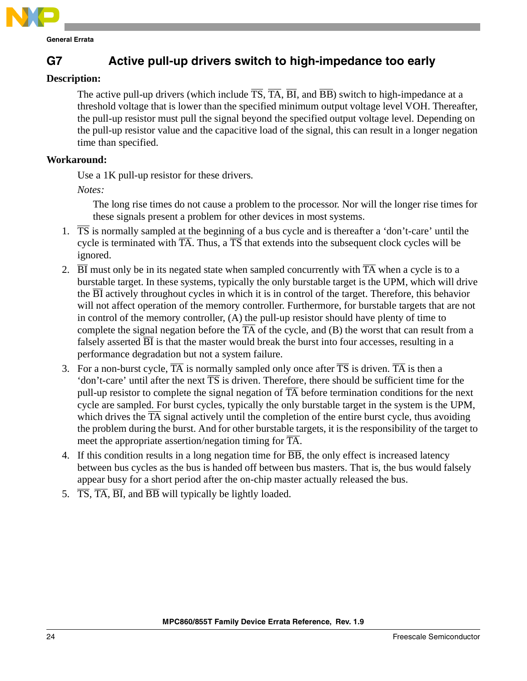

**General Errata**

## **G7 Active pull-up drivers switch to high-impedance too early**

### **Description:**

The active pull-up drivers (which include  $\overline{TS}$ ,  $\overline{TA}$ ,  $\overline{BI}$ , and  $\overline{BB}$ ) switch to high-impedance at a threshold voltage that is lower than the specified minimum output voltage level VOH. Thereafter, the pull-up resistor must pull the signal beyond the specified output voltage level. Depending on the pull-up resistor value and the capacitive load of the signal, this can result in a longer negation time than specified.

#### **Workaround:**

Use a 1K pull-up resistor for these drivers.

*Notes:*

The long rise times do not cause a problem to the processor. Nor will the longer rise times for these signals present a problem for other devices in most systems.

- 1. TS is normally sampled at the beginning of a bus cycle and is thereafter a 'don't-care' until the cycle is terminated with  $\overline{TA}$ . Thus, a  $\overline{TS}$  that extends into the subsequent clock cycles will be ignored.
- 2.  $\overline{BI}$  must only be in its negated state when sampled concurrently with  $\overline{TA}$  when a cycle is to a burstable target. In these systems, typically the only burstable target is the UPM, which will drive the  $\overline{BI}$  actively throughout cycles in which it is in control of the target. Therefore, this behavior will not affect operation of the memory controller. Furthermore, for burstable targets that are not in control of the memory controller, (A) the pull-up resistor should have plenty of time to complete the signal negation before the TA of the cycle, and (B) the worst that can result from a falsely asserted  $\overline{BI}$  is that the master would break the burst into four accesses, resulting in a performance degradation but not a system failure.
- 3. For a non-burst cycle,  $\overline{TA}$  is normally sampled only once after  $\overline{TS}$  is driven.  $\overline{TA}$  is then a 'don't-care' until after the next  $\overline{TS}$  is driven. Therefore, there should be sufficient time for the pull-up resistor to complete the signal negation of  $\overline{TA}$  before termination conditions for the next cycle are sampled. For burst cycles, typically the only burstable target in the system is the UPM, which drives the  $\overline{TA}$  signal actively until the completion of the entire burst cycle, thus avoiding the problem during the burst. And for other burstable targets, it is the responsibility of the target to meet the appropriate assertion/negation timing for  $\overline{TA}$ .
- 4. If this condition results in a long negation time for  $\overline{BB}$ , the only effect is increased latency between bus cycles as the bus is handed off between bus masters. That is, the bus would falsely appear busy for a short period after the on-chip master actually released the bus.
- 5.  $\overline{TS}$ ,  $\overline{TA}$ ,  $\overline{BI}$ , and  $\overline{BB}$  will typically be lightly loaded.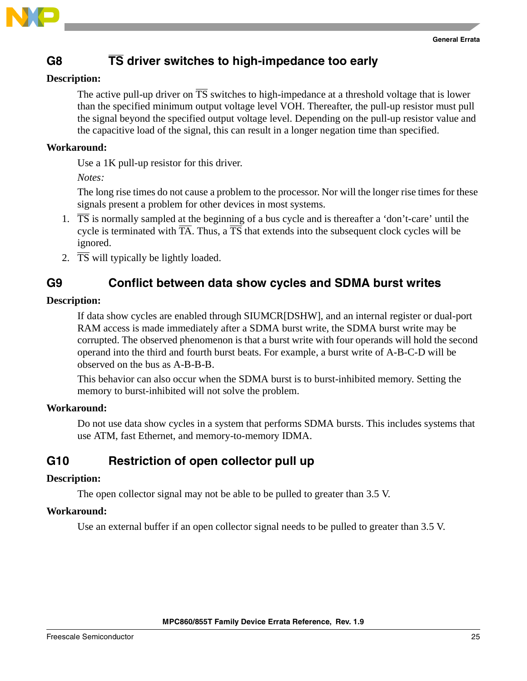

## **G8 TS driver switches to high-impedance too early**

#### **Description:**

The active pull-up driver on  $\overline{TS}$  switches to high-impedance at a threshold voltage that is lower than the specified minimum output voltage level VOH. Thereafter, the pull-up resistor must pull the signal beyond the specified output voltage level. Depending on the pull-up resistor value and the capacitive load of the signal, this can result in a longer negation time than specified.

#### **Workaround:**

Use a 1K pull-up resistor for this driver.

*Notes:*

The long rise times do not cause a problem to the processor. Nor will the longer rise times for these signals present a problem for other devices in most systems.

- 1. TS is normally sampled at the beginning of a bus cycle and is thereafter a 'don't-care' until the cycle is terminated with  $\overline{TA}$ . Thus, a  $\overline{TS}$  that extends into the subsequent clock cycles will be ignored.
- 2. TS will typically be lightly loaded.

## **G9 Conflict between data show cycles and SDMA burst writes**

#### **Description:**

If data show cycles are enabled through SIUMCR[DSHW], and an internal register or dual-port RAM access is made immediately after a SDMA burst write, the SDMA burst write may be corrupted. The observed phenomenon is that a burst write with four operands will hold the second operand into the third and fourth burst beats. For example, a burst write of A-B-C-D will be observed on the bus as A-B-B-B.

This behavior can also occur when the SDMA burst is to burst-inhibited memory. Setting the memory to burst-inhibited will not solve the problem.

#### **Workaround:**

Do not use data show cycles in a system that performs SDMA bursts. This includes systems that use ATM, fast Ethernet, and memory-to-memory IDMA.

## **G10 Restriction of open collector pull up**

#### **Description:**

The open collector signal may not be able to be pulled to greater than 3.5 V.

#### **Workaround:**

Use an external buffer if an open collector signal needs to be pulled to greater than 3.5 V.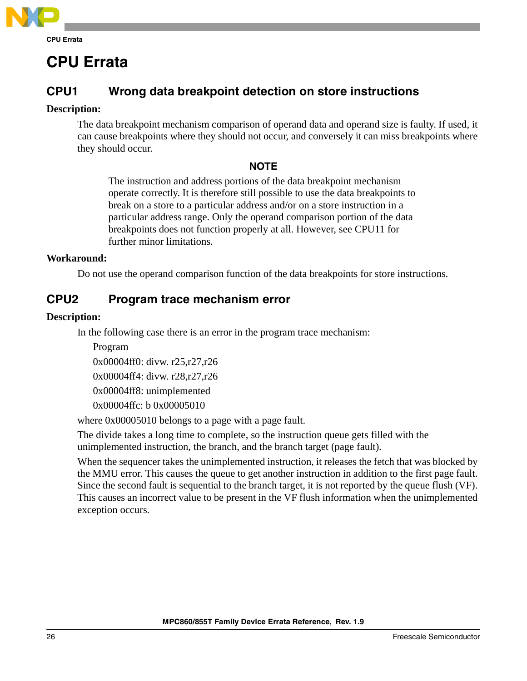

**CPU Errata**

# **CPU1 Wrong data breakpoint detection on store instructions**

#### **Description:**

The data breakpoint mechanism comparison of operand data and operand size is faulty. If used, it can cause breakpoints where they should not occur, and conversely it can miss breakpoints where they should occur.

#### **NOTE**

The instruction and address portions of the data breakpoint mechanism operate correctly. It is therefore still possible to use the data breakpoints to break on a store to a particular address and/or on a store instruction in a particular address range. Only the operand comparison portion of the data breakpoints does not function properly at all. However, see CPU11 for further minor limitations.

#### **Workaround:**

Do not use the operand comparison function of the data breakpoints for store instructions.

## **CPU2 Program trace mechanism error**

#### **Description:**

In the following case there is an error in the program trace mechanism:

Program 0x00004ff0: divw. r25,r27,r26 0x00004ff4: divw. r28,r27,r26 0x00004ff8: unimplemented 0x00004ffc: b 0x00005010

where 0x00005010 belongs to a page with a page fault.

The divide takes a long time to complete, so the instruction queue gets filled with the unimplemented instruction, the branch, and the branch target (page fault).

When the sequencer takes the unimplemented instruction, it releases the fetch that was blocked by the MMU error. This causes the queue to get another instruction in addition to the first page fault. Since the second fault is sequential to the branch target, it is not reported by the queue flush (VF). This causes an incorrect value to be present in the VF flush information when the unimplemented exception occurs.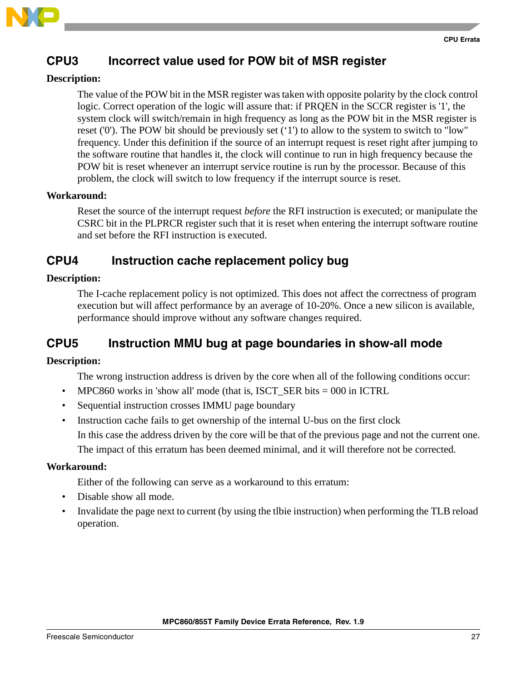

## **CPU3 Incorrect value used for POW bit of MSR register**

#### **Description:**

The value of the POW bit in the MSR register was taken with opposite polarity by the clock control logic. Correct operation of the logic will assure that: if PRQEN in the SCCR register is '1', the system clock will switch/remain in high frequency as long as the POW bit in the MSR register is reset ('0'). The POW bit should be previously set ('1') to allow to the system to switch to "low" frequency. Under this definition if the source of an interrupt request is reset right after jumping to the software routine that handles it, the clock will continue to run in high frequency because the POW bit is reset whenever an interrupt service routine is run by the processor. Because of this problem, the clock will switch to low frequency if the interrupt source is reset.

#### **Workaround:**

Reset the source of the interrupt request *before* the RFI instruction is executed; or manipulate the CSRC bit in the PLPRCR register such that it is reset when entering the interrupt software routine and set before the RFI instruction is executed.

## **CPU4 Instruction cache replacement policy bug**

#### **Description:**

The I-cache replacement policy is not optimized. This does not affect the correctness of program execution but will affect performance by an average of 10-20%. Once a new silicon is available, performance should improve without any software changes required.

## **CPU5 Instruction MMU bug at page boundaries in show-all mode**

#### **Description:**

The wrong instruction address is driven by the core when all of the following conditions occur:

- MPC860 works in 'show all' mode (that is, ISCT\_SER bits = 000 in ICTRL
- Sequential instruction crosses IMMU page boundary
- Instruction cache fails to get ownership of the internal U-bus on the first clock In this case the address driven by the core will be that of the previous page and not the current one. The impact of this erratum has been deemed minimal, and it will therefore not be corrected.

#### **Workaround:**

- Either of the following can serve as a workaround to this erratum:
- Disable show all mode.
- Invalidate the page next to current (by using the tlbie instruction) when performing the TLB reload operation.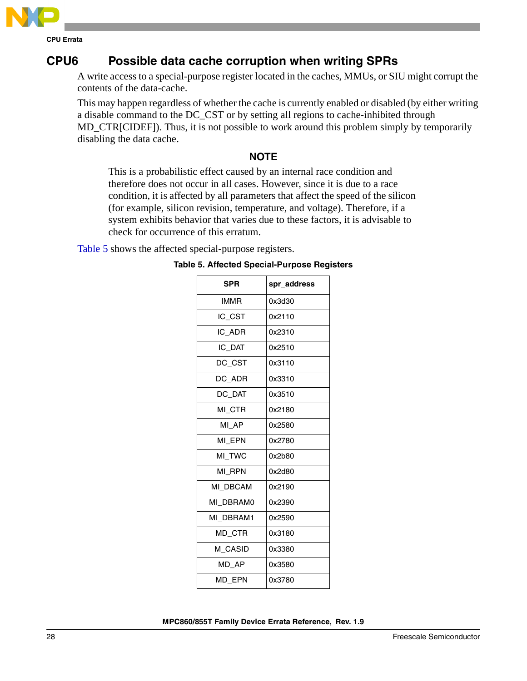

**CPU Errata**

## **CPU6 Possible data cache corruption when writing SPRs**

A write access to a special-purpose register located in the caches, MMUs, or SIU might corrupt the contents of the data-cache.

This may happen regardless of whether the cache is currently enabled or disabled (by either writing a disable command to the DC\_CST or by setting all regions to cache-inhibited through MD\_CTR[CIDEF]). Thus, it is not possible to work around this problem simply by temporarily disabling the data cache.

## **NOTE**

This is a probabilistic effect caused by an internal race condition and therefore does not occur in all cases. However, since it is due to a race condition, it is affected by all parameters that affect the speed of the silicon (for example, silicon revision, temperature, and voltage). Therefore, if a system exhibits behavior that varies due to these factors, it is advisable to check for occurrence of this erratum.

<span id="page-27-0"></span>[Table 5](#page-27-0) shows the affected special-purpose registers.

| <b>SPR</b>  | spr_address |
|-------------|-------------|
| <b>IMMR</b> | 0x3d30      |
| IC_CST      | 0x2110      |
| IC ADR      | 0x2310      |
| IC DAT      | 0x2510      |
| DC_CST      | 0x3110      |
| DC_ADR      | 0x3310      |
| DC DAT      | 0x3510      |
| MI_CTR      | 0x2180      |
| MI AP       | 0x2580      |
| MI EPN      | 0x2780      |
| MI_TWC      | 0x2b80      |
| MI RPN      | 0x2d80      |
| MI DBCAM    | 0x2190      |
| MI DBRAM0   | 0x2390      |
| MI DBRAM1   | 0x2590      |
| MD CTR      | 0x3180      |
| M CASID     | 0x3380      |
| MD AP       | 0x3580      |
| MD EPN      | 0x3780      |

#### **Table 5. Affected Special-Purpose Registers**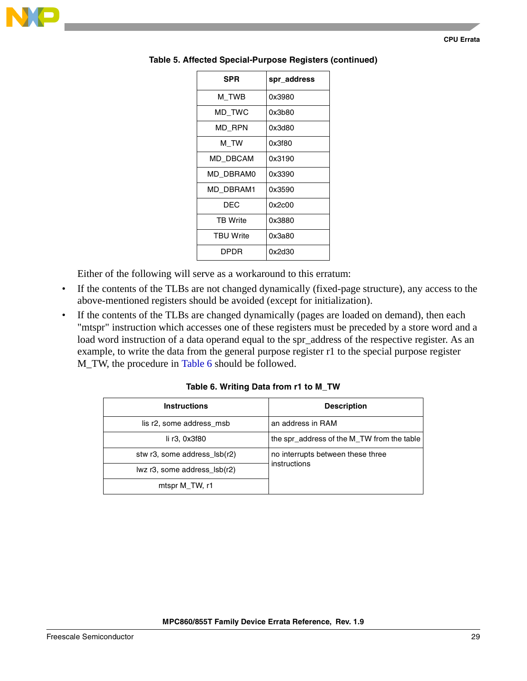| <b>SPR</b>       | spr_address |
|------------------|-------------|
| M TWB            | 0x3980      |
| MD TWC           | 0x3b80      |
| MD RPN           | 0x3d80      |
| M TW             | 0x3f80      |
| MD DBCAM         | 0x3190      |
| MD DBRAM0        | 0x3390      |
| MD DBRAM1        | 0x3590      |
| DEC              | 0x2c00      |
| <b>TB Write</b>  | 0x3880      |
| <b>TBU Write</b> | 0x3a80      |
| DPDR             | 0x2d30      |

**Table 5. Affected Special-Purpose Registers (continued)**

Either of the following will serve as a workaround to this erratum:

- If the contents of the TLBs are not changed dynamically (fixed-page structure), any access to the above-mentioned registers should be avoided (except for initialization).
- If the contents of the TLBs are changed dynamically (pages are loaded on demand), then each "mtspr" instruction which accesses one of these registers must be preceded by a store word and a load word instruction of a data operand equal to the spr\_address of the respective register. As an example, to write the data from the general purpose register r1 to the special purpose register M\_TW, the procedure in [Table 6](#page-28-0) should be followed.

**Table 6. Writing Data from r1 to M\_TW**

<span id="page-28-0"></span>

| <b>Instructions</b>               | <b>Description</b>                                |  |
|-----------------------------------|---------------------------------------------------|--|
| lis r2, some address msb          | an address in RAM                                 |  |
| li r3, 0x3f80                     | the spr_address of the M_TW from the table        |  |
| stw r3, some address_lsb(r2)      | no interrupts between these three<br>instructions |  |
| $l$ wz r3, some address $lsb(r2)$ |                                                   |  |
| mtspr M_TW, r1                    |                                                   |  |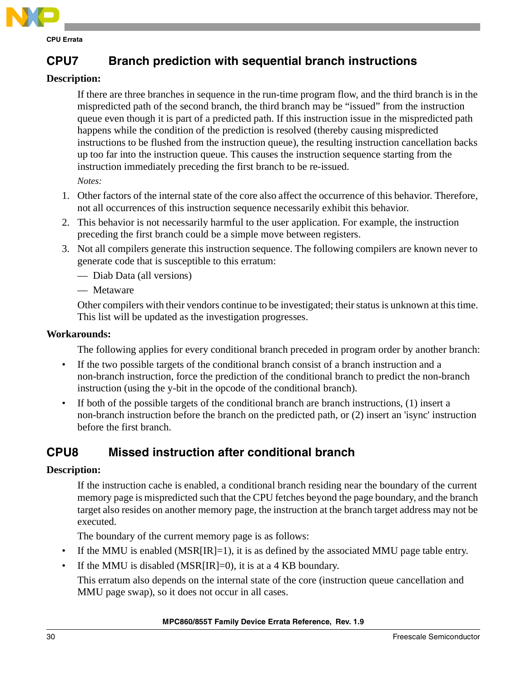

**CPU Errata**

## **CPU7 Branch prediction with sequential branch instructions**

## **Description:**

If there are three branches in sequence in the run-time program flow, and the third branch is in the mispredicted path of the second branch, the third branch may be "issued" from the instruction queue even though it is part of a predicted path. If this instruction issue in the mispredicted path happens while the condition of the prediction is resolved (thereby causing mispredicted instructions to be flushed from the instruction queue), the resulting instruction cancellation backs up too far into the instruction queue. This causes the instruction sequence starting from the instruction immediately preceding the first branch to be re-issued.

*Notes:*

- 1. Other factors of the internal state of the core also affect the occurrence of this behavior. Therefore, not all occurrences of this instruction sequence necessarily exhibit this behavior.
- 2. This behavior is not necessarily harmful to the user application. For example, the instruction preceding the first branch could be a simple move between registers.
- 3. Not all compilers generate this instruction sequence. The following compilers are known never to generate code that is susceptible to this erratum:

— Diab Data (all versions)

— Metaware

Other compilers with their vendors continue to be investigated; their status is unknown at this time. This list will be updated as the investigation progresses.

### **Workarounds:**

The following applies for every conditional branch preceded in program order by another branch:

- If the two possible targets of the conditional branch consist of a branch instruction and a non-branch instruction, force the prediction of the conditional branch to predict the non-branch instruction (using the y-bit in the opcode of the conditional branch).
- If both of the possible targets of the conditional branch are branch instructions, (1) insert a non-branch instruction before the branch on the predicted path, or (2) insert an 'isync' instruction before the first branch.

## **CPU8 Missed instruction after conditional branch**

## **Description:**

If the instruction cache is enabled, a conditional branch residing near the boundary of the current memory page is mispredicted such that the CPU fetches beyond the page boundary, and the branch target also resides on another memory page, the instruction at the branch target address may not be executed.

The boundary of the current memory page is as follows:

- If the MMU is enabled (MSR[IR]=1), it is as defined by the associated MMU page table entry.
- If the MMU is disabled (MSR[IR]=0), it is at a 4 KB boundary.

This erratum also depends on the internal state of the core (instruction queue cancellation and MMU page swap), so it does not occur in all cases.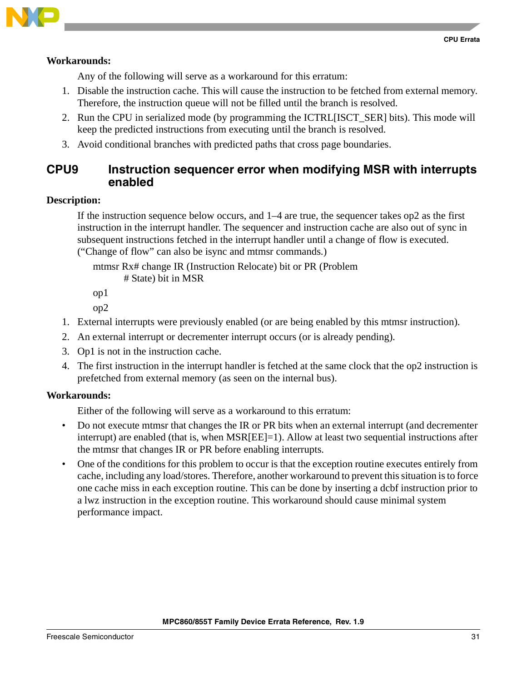

#### **Workarounds:**

Any of the following will serve as a workaround for this erratum:

- 1. Disable the instruction cache. This will cause the instruction to be fetched from external memory. Therefore, the instruction queue will not be filled until the branch is resolved.
- 2. Run the CPU in serialized mode (by programming the ICTRL[ISCT\_SER] bits). This mode will keep the predicted instructions from executing until the branch is resolved.
- 3. Avoid conditional branches with predicted paths that cross page boundaries.

## **CPU9 Instruction sequencer error when modifying MSR with interrupts enabled**

#### **Description:**

If the instruction sequence below occurs, and 1–4 are true, the sequencer takes op2 as the first instruction in the interrupt handler. The sequencer and instruction cache are also out of sync in subsequent instructions fetched in the interrupt handler until a change of flow is executed. ("Change of flow" can also be isync and mtmsr commands.)

mtmsr Rx# change IR (Instruction Relocate) bit or PR (Problem # State) bit in MSR

op1

op2

- 1. External interrupts were previously enabled (or are being enabled by this mtmsr instruction).
- 2. An external interrupt or decrementer interrupt occurs (or is already pending).
- 3. Op1 is not in the instruction cache.
- 4. The first instruction in the interrupt handler is fetched at the same clock that the op2 instruction is prefetched from external memory (as seen on the internal bus).

#### **Workarounds:**

Either of the following will serve as a workaround to this erratum:

- Do not execute mtmsr that changes the IR or PR bits when an external interrupt (and decrementer interrupt) are enabled (that is, when MSR[EE]=1). Allow at least two sequential instructions after the mtmsr that changes IR or PR before enabling interrupts.
- One of the conditions for this problem to occur is that the exception routine executes entirely from cache, including any load/stores. Therefore, another workaround to prevent this situation is to force one cache miss in each exception routine. This can be done by inserting a dcbf instruction prior to a lwz instruction in the exception routine. This workaround should cause minimal system performance impact.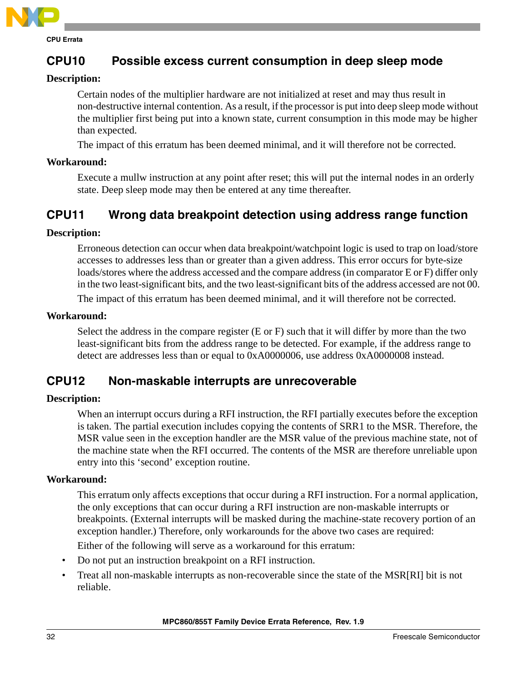

**CPU Errata**

## **CPU10 Possible excess current consumption in deep sleep mode**

### **Description:**

Certain nodes of the multiplier hardware are not initialized at reset and may thus result in non-destructive internal contention. As a result, if the processor is put into deep sleep mode without the multiplier first being put into a known state, current consumption in this mode may be higher than expected.

The impact of this erratum has been deemed minimal, and it will therefore not be corrected.

#### **Workaround:**

Execute a mullw instruction at any point after reset; this will put the internal nodes in an orderly state. Deep sleep mode may then be entered at any time thereafter.

## **CPU11 Wrong data breakpoint detection using address range function**

#### **Description:**

Erroneous detection can occur when data breakpoint/watchpoint logic is used to trap on load/store accesses to addresses less than or greater than a given address. This error occurs for byte-size loads/stores where the address accessed and the compare address (in comparator E or F) differ only in the two least-significant bits, and the two least-significant bits of the address accessed are not 00.

The impact of this erratum has been deemed minimal, and it will therefore not be corrected.

#### **Workaround:**

Select the address in the compare register (E or F) such that it will differ by more than the two least-significant bits from the address range to be detected. For example, if the address range to detect are addresses less than or equal to 0xA0000006, use address 0xA0000008 instead.

## **CPU12 Non-maskable interrupts are unrecoverable**

#### **Description:**

When an interrupt occurs during a RFI instruction, the RFI partially executes before the exception is taken. The partial execution includes copying the contents of SRR1 to the MSR. Therefore, the MSR value seen in the exception handler are the MSR value of the previous machine state, not of the machine state when the RFI occurred. The contents of the MSR are therefore unreliable upon entry into this 'second' exception routine.

#### **Workaround:**

This erratum only affects exceptions that occur during a RFI instruction. For a normal application, the only exceptions that can occur during a RFI instruction are non-maskable interrupts or breakpoints. (External interrupts will be masked during the machine-state recovery portion of an exception handler.) Therefore, only workarounds for the above two cases are required:

- Either of the following will serve as a workaround for this erratum:
- Do not put an instruction breakpoint on a RFI instruction.
- Treat all non-maskable interrupts as non-recoverable since the state of the MSR[RI] bit is not reliable.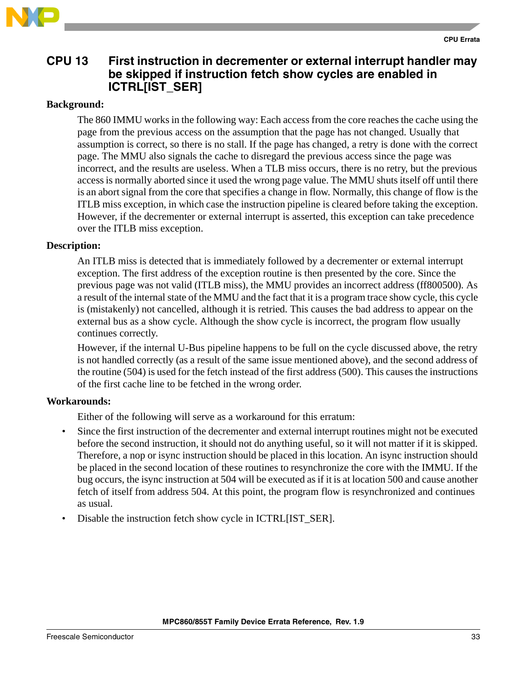

## **CPU 13 First instruction in decrementer or external interrupt handler may be skipped if instruction fetch show cycles are enabled in ICTRL[IST\_SER]**

#### **Background:**

The 860 IMMU works in the following way: Each access from the core reaches the cache using the page from the previous access on the assumption that the page has not changed. Usually that assumption is correct, so there is no stall. If the page has changed, a retry is done with the correct page. The MMU also signals the cache to disregard the previous access since the page was incorrect, and the results are useless. When a TLB miss occurs, there is no retry, but the previous access is normally aborted since it used the wrong page value. The MMU shuts itself off until there is an abort signal from the core that specifies a change in flow. Normally, this change of flow is the ITLB miss exception, in which case the instruction pipeline is cleared before taking the exception. However, if the decrementer or external interrupt is asserted, this exception can take precedence over the ITLB miss exception.

#### **Description:**

An ITLB miss is detected that is immediately followed by a decrementer or external interrupt exception. The first address of the exception routine is then presented by the core. Since the previous page was not valid (ITLB miss), the MMU provides an incorrect address (ff800500). As a result of the internal state of the MMU and the fact that it is a program trace show cycle, this cycle is (mistakenly) not cancelled, although it is retried. This causes the bad address to appear on the external bus as a show cycle. Although the show cycle is incorrect, the program flow usually continues correctly.

However, if the internal U-Bus pipeline happens to be full on the cycle discussed above, the retry is not handled correctly (as a result of the same issue mentioned above), and the second address of the routine (504) is used for the fetch instead of the first address (500). This causes the instructions of the first cache line to be fetched in the wrong order.

#### **Workarounds:**

Either of the following will serve as a workaround for this erratum:

- Since the first instruction of the decrementer and external interrupt routines might not be executed before the second instruction, it should not do anything useful, so it will not matter if it is skipped. Therefore, a nop or isync instruction should be placed in this location. An isync instruction should be placed in the second location of these routines to resynchronize the core with the IMMU. If the bug occurs, the isync instruction at 504 will be executed as if it is at location 500 and cause another fetch of itself from address 504. At this point, the program flow is resynchronized and continues as usual.
- Disable the instruction fetch show cycle in ICTRL[IST\_SER].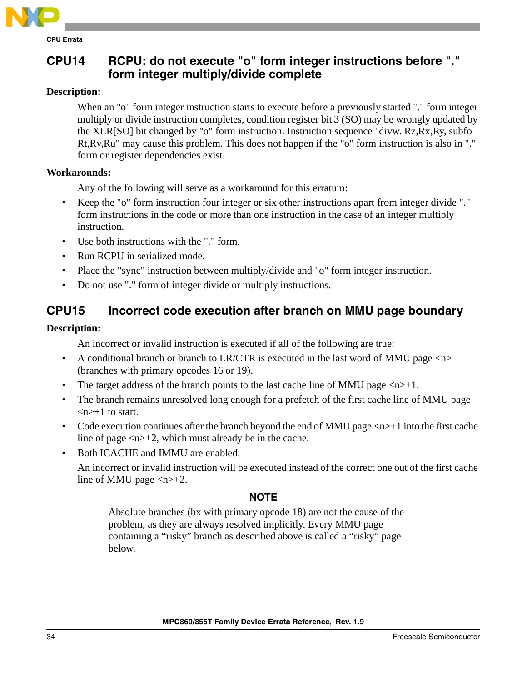

**CPU Errata**

## **CPU14 RCPU: do not execute "o" form integer instructions before "." form integer multiply/divide complete**

### **Description:**

When an "o" form integer instruction starts to execute before a previously started "." form integer multiply or divide instruction completes, condition register bit 3 (SO) may be wrongly updated by the XER[SO] bit changed by "o" form instruction. Instruction sequence "divw. Rz,Rx,Ry, subfo Rt,Rv,Ru" may cause this problem. This does not happen if the "o" form instruction is also in "." form or register dependencies exist.

### **Workarounds:**

Any of the following will serve as a workaround for this erratum:

- Keep the "o" form instruction four integer or six other instructions apart from integer divide "." form instructions in the code or more than one instruction in the case of an integer multiply instruction.
- Use both instructions with the "." form.
- Run RCPU in serialized mode.
- Place the "sync" instruction between multiply/divide and "o" form integer instruction.
- Do not use "." form of integer divide or multiply instructions.

## **CPU15 Incorrect code execution after branch on MMU page boundary**

#### **Description:**

An incorrect or invalid instruction is executed if all of the following are true:

- A conditional branch or branch to LR/CTR is executed in the last word of MMU page  $\langle n \rangle$ (branches with primary opcodes 16 or 19).
- The target address of the branch points to the last cache line of MMU page  $\langle n \rangle + 1$ .
- The branch remains unresolved long enough for a prefetch of the first cache line of MMU page  $\langle n \rangle$  +1 to start.
- Code execution continues after the branch beyond the end of MMU page  $\langle n \rangle$  into the first cache line of page  $\langle n \rangle$  +2, which must already be in the cache.
- Both ICACHE and IMMU are enabled.

An incorrect or invalid instruction will be executed instead of the correct one out of the first cache line of MMU page  $\langle n \rangle$ +2.

## **NOTE**

Absolute branches (bx with primary opcode 18) are not the cause of the problem, as they are always resolved implicitly. Every MMU page containing a "risky" branch as described above is called a "risky" page below.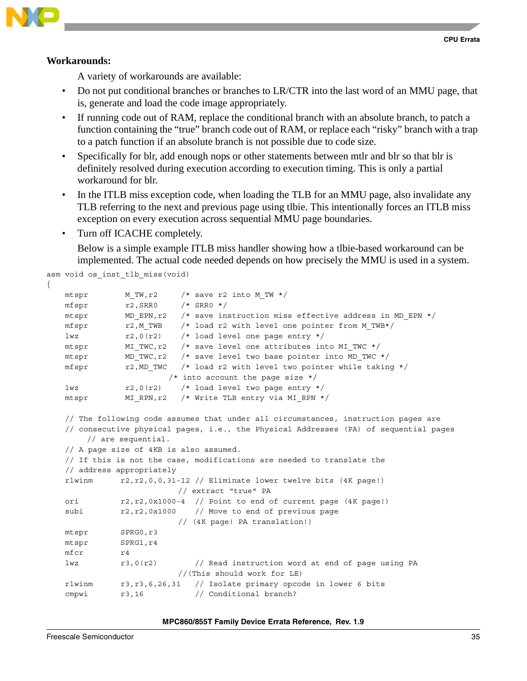#### **Workarounds:**

A variety of workarounds are available:

- Do not put conditional branches or branches to LR/CTR into the last word of an MMU page, that is, generate and load the code image appropriately.
- If running code out of RAM, replace the conditional branch with an absolute branch, to patch a function containing the "true" branch code out of RAM, or replace each "risky" branch with a trap to a patch function if an absolute branch is not possible due to code size.
- Specifically for blr, add enough nops or other statements between mtlr and blr so that blr is definitely resolved during execution according to execution timing. This is only a partial workaround for blr.
- In the ITLB miss exception code, when loading the TLB for an MMU page, also invalidate any TLB referring to the next and previous page using tlbie. This intentionally forces an ITLB miss exception on every execution across sequential MMU page boundaries.
- Turn off ICACHE completely.

Below is a simple example ITLB miss handler showing how a tlbie-based workaround can be implemented. The actual code needed depends on how precisely the MMU is used in a system.

```
asm void os inst tlb miss(void)
{
   mtspr MTW, r2 /* save r2 into M TW */
   mfspr r2, SRR0 /* SRR0 */
   mtspr MD_EPN,r2 /* save instruction miss effective address in MD_EPN */
   mfspr r^2, M_TWB /* load r2 with level one pointer from M_TWB*/
    lwz r2,0(r2) /* load level one page entry */
   mtspr MITWC, r2 /* save level one attributes into MITWC */
   mtspr MD_TWC,r2 /* save level two base pointer into MD_TWC */
   mfspr r^2, MD TWC /* load r2 with level two pointer while taking */
                       /* into account the page size */
    lwz r2,0(r2) /* load level two page entry */
   mtspr MIRPN,r2 /* Write TLB entry via MIRPN */
    // The following code assumes that under all circumstances, instruction pages are
    // consecutive physical pages, i.e., the Physical Addresses (PA) of sequential pages
        // are sequential.
    // A page size of 4KB is also assumed.
    // If this is not the case, modifications are needed to translate the
    // address appropriately
    rlwinm r2,r2,0,0,31-12 // Eliminate lower twelve bits (4K page!)
                          // extract "true" PA
    ori r2,r2,0x1000-4 // Point to end of current page (4K page!)
   subi r2, r2,0x1000 // Move to end of previous page
                          // (4K page! PA translation!)
   mtspr SPRG0, r3
   mtspr SPRG1, r4
    mfcr r4
   lwz r3,0(r2) // Read instruction word at end of page using PA
                          //(This should work for LE)
    rlwinm r3,r3,6,26,31 // Isolate primary opcode in lower 6 bits
   cmpwi r3,16 // Conditional branch?
```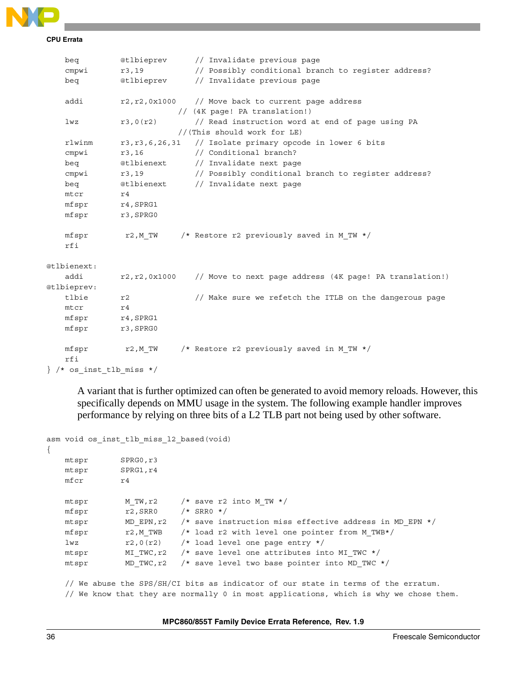

**CPU Errata**

| beg                         | @tlbieprev | // Invalidate previous page                                            |
|-----------------------------|------------|------------------------------------------------------------------------|
| cmpwi                       | r3,19      | // Possibly conditional branch to register address?                    |
| beq                         | @tlbieprev | // Invalidate previous page                                            |
| addi                        |            | r2, r2, 0x1000 // Move back to current page address                    |
|                             |            | // (4K page! PA translation!)                                          |
| lwz                         | r3,0(r2)   | // Read instruction word at end of page using PA                       |
|                             |            | //(This should work for LE)                                            |
| rlwinm                      |            | $r3, r3, 6, 26, 31$ // Isolate primary opcode in lower 6 bits          |
| cmpwi                       | r3, 16     | // Conditional branch?                                                 |
| beq                         |            | @tlbienext // Invalidate next page                                     |
| cmpwi                       | r3,19      | // Possibly conditional branch to register address?                    |
| beq                         |            | @tlbienext // Invalidate next page                                     |
| mtcr                        | r4         |                                                                        |
| mfspr                       | r4, SPRG1  |                                                                        |
| mfspr                       | r3, SPRG0  |                                                                        |
| mfspr                       | r2,M TW    | /* Restore r2 previously saved in M TW */                              |
| rfi                         |            |                                                                        |
| @tlbienext:                 |            |                                                                        |
| addi                        |            | r2, r2, 0x1000 // Move to next page address (4K page! PA translation!) |
| @tlbieprev:                 |            |                                                                        |
| tlbie                       | r2         | // Make sure we refetch the ITLB on the dangerous page                 |
| mtcr                        | r4         |                                                                        |
| mfspr                       | r4, SPRG1  |                                                                        |
| mfspr                       | r3, SPRG0  |                                                                        |
| mfspr                       | r2,M TW    | /* Restore r2 previously saved in M TW */                              |
| rfi                         |            |                                                                        |
| $\}$ /* os_inst_tlb_miss */ |            |                                                                        |

A variant that is further optimized can often be generated to avoid memory reloads. However, this specifically depends on MMU usage in the system. The following example handler improves performance by relying on three bits of a L2 TLB part not being used by other software.

```
asm void os_inst_tlb_miss_l2_based(void)
{
   mtspr SPRG0, r3
   mtspr SPRG1, r4
    mfcr r4
   mtspr MTW, r2 /* save r2 into M TW */
   mfspr r^2, SRR0 /* SRR0 */
   mtspr MD_EPN,r2 /* save instruction miss effective address in MD_EPN */
   mfspr r2,M TWB /* load r2 with level one pointer from M_TWB*/
    lwz r2,0(r2) /* load level one page entry */
   mtspr MITWC, r2 /* save level one attributes into MITWC */
   mtspr MD_TWC,r2 /* save level two base pointer into MD_TWC */
    // We abuse the SPS/SH/CI bits as indicator of our state in terms of the erratum.
    // We know that they are normally 0 in most applications, which is why we chose them.
```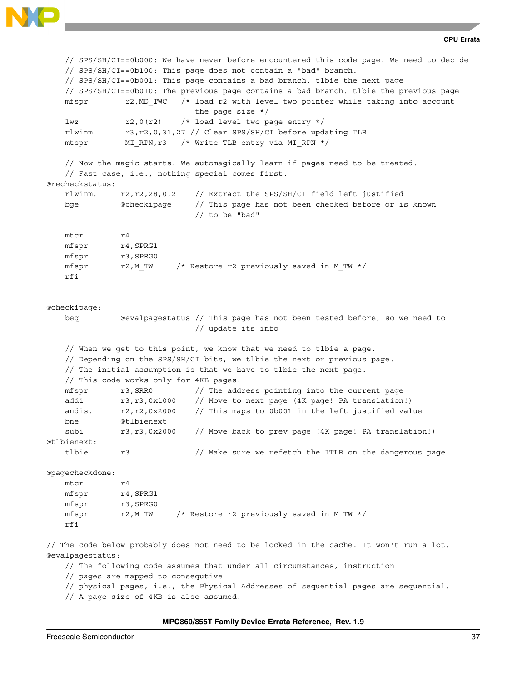#### **CPU Errata**

```
 // SPS/SH/CI==0b000: We have never before encountered this code page. We need to decide
    // SPS/SH/CI==0b100: This page does not contain a "bad" branch.
    // SPS/SH/CI==0b001: This page contains a bad branch. tlbie the next page
    // SPS/SH/CI==0b010: The previous page contains a bad branch. tlbie the previous page
    mfspr r2,MD_TWC /* load r2 with level two pointer while taking into account 
                               the page size */
    lwz r2,0(r2) /* load level two page entry */
    rlwinm r3,r2,0,31,27 // Clear SPS/SH/CI before updating TLB
    mtspr MI_RPN,r3 /* Write TLB entry via MI_RPN */
    // Now the magic starts. We automagically learn if pages need to be treated.
    // Fast case, i.e., nothing special comes first.
@recheckstatus:
    rlwinm. r2,r2,28,0,2 // Extract the SPS/SH/CI field left justified
    bge @checkipage // This page has not been checked before or is known
                               // to be "bad"
    mtcr r4
    mfspr r4,SPRG1
    mfspr r3,SPRG0
    mfspr r2,M_TW /* Restore r2 previously saved in M_TW */
    rfi
@checkipage:
    beq @evalpagestatus // This page has not been tested before, so we need to
                               // update its info
    // When we get to this point, we know that we need to tlbie a page.
    // Depending on the SPS/SH/CI bits, we tlbie the next or previous page.
    // The initial assumption is that we have to tlbie the next page.
    // This code works only for 4KB pages.
   mfspr r3, SRR0 // The address pointing into the current page
    addi r3,r3,0x1000 // Move to next page (4K page! PA translation!)
   andis. r^2, r^2, 0x^2000 // This maps to 0b001 in the left justified value
    bne @tlbienext 
   subi r3, r3, 0x2000 // Move back to prev page (4K page! PA translation!)
@tlbienext: 
   tlbie r3 // Make sure we refetch the ITLB on the dangerous page
@pagecheckdone: 
    mtcr r4
    mfspr r4,SPRG1
   mfspr r3, SPRG0
   mfspr r2, M_TW /* Restore r2 previously saved in M_TW */
    rfi
// The code below probably does not need to be locked in the cache. It won't run a lot.
@evalpagestatus:
    // The following code assumes that under all circumstances, instruction
    // pages are mapped to consequtive
```
// physical pages, i.e., the Physical Addresses of sequential pages are sequential.

// A page size of 4KB is also assumed.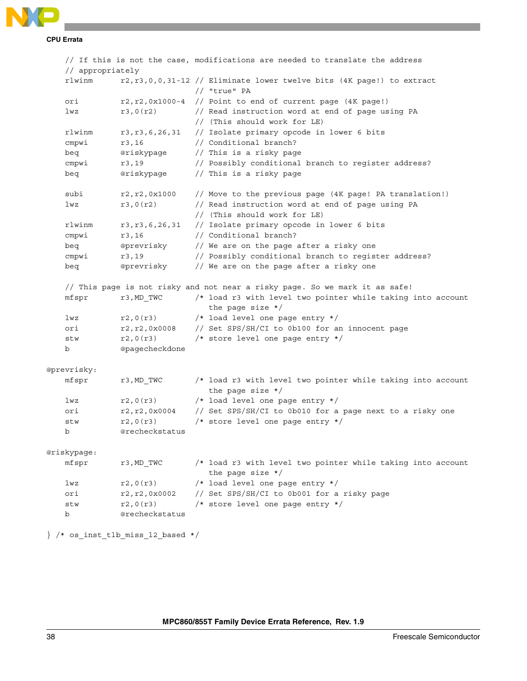```
CPU Errata
```

```
 // If this is not the case, modifications are needed to translate the address 
    // appropriately
    rlwinm r2,r3,0,0,31-12 // Eliminate lower twelve bits (4K page!) to extract
                            // "true" PA
    ori r2,r2,0x1000-4 // Point to end of current page (4K page!)
   lwz r3,0(r2) // Read instruction word at end of page using PA
                            // (This should work for LE)
    rlwinm r3,r3,6,26,31 // Isolate primary opcode in lower 6 bits
   cmpwi r3,16 // Conditional branch?
    beq @riskypage // This is a risky page
   cmpwi r3,19 // Possibly conditional branch to register address?
    beq @riskypage // This is a risky page
   subi r2, r2, 0x1000 // Move to the previous page (4K page! PA translation!)
    lwz r3,0(r2) // Read instruction word at end of page using PA
                            // (This should work for LE)
    rlwinm r3,r3,6,26,31 // Isolate primary opcode in lower 6 bits
   cmpwi r3,16 // Conditional branch?
    beq @prevrisky // We are on the page after a risky one
   cmpwi r3,19 // Possibly conditional branch to register address?
    beq @prevrisky // We are on the page after a risky one
    // This page is not risky and not near a risky page. So we mark it as safe!
    mfspr r3,MD_TWC /* load r3 with level two pointer while taking into account 
                               the page size */
   lwz r2,0(r3) /* load level one page entry */ ori r2,r2,0x0008 // Set SPS/SH/CI to 0b100 for an innocent page
    stw r2,0(r3) /* store level one page entry */
    b @pagecheckdone
@prevrisky:
   mfspr r3, MD TWC /* load r3 with level two pointer while taking into account
                               the page size */
    lwz r2,0(r3) /* load level one page entry */
    ori r2,r2,0x0004 // Set SPS/SH/CI to 0b010 for a page next to a risky one
    stw r2,0(r3) /* store level one page entry */
    b @recheckstatus
@riskypage:
   mfspr r3, MD TWC /* load r3 with level two pointer while taking into account
                               the page size */
    lwz r2,0(r3) /* load level one page entry */
    ori r2,r2,0x0002 // Set SPS/SH/CI to 0b001 for a risky page
   stw r^2, 0(r3) \qquad /* store level one page entry */
    b @recheckstatus
} /* os inst tlb miss 12 based */
```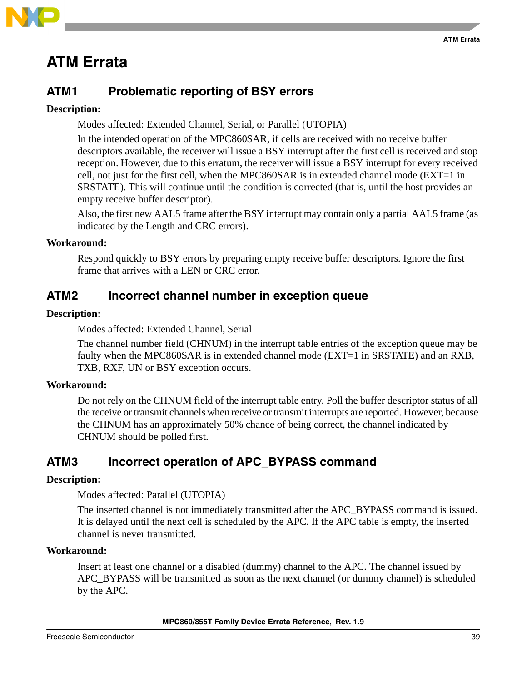

# **ATM Errata**

## **ATM1 Problematic reporting of BSY errors**

#### **Description:**

Modes affected: Extended Channel, Serial, or Parallel (UTOPIA)

In the intended operation of the MPC860SAR, if cells are received with no receive buffer descriptors available, the receiver will issue a BSY interrupt after the first cell is received and stop reception. However, due to this erratum, the receiver will issue a BSY interrupt for every received cell, not just for the first cell, when the MPC860SAR is in extended channel mode (EXT=1 in SRSTATE). This will continue until the condition is corrected (that is, until the host provides an empty receive buffer descriptor).

Also, the first new AAL5 frame after the BSY interrupt may contain only a partial AAL5 frame (as indicated by the Length and CRC errors).

#### **Workaround:**

Respond quickly to BSY errors by preparing empty receive buffer descriptors. Ignore the first frame that arrives with a LEN or CRC error.

### **ATM2 Incorrect channel number in exception queue**

#### **Description:**

Modes affected: Extended Channel, Serial

The channel number field (CHNUM) in the interrupt table entries of the exception queue may be faulty when the MPC860SAR is in extended channel mode (EXT=1 in SRSTATE) and an RXB, TXB, RXF, UN or BSY exception occurs.

#### **Workaround:**

Do not rely on the CHNUM field of the interrupt table entry. Poll the buffer descriptor status of all the receive or transmit channels when receive or transmit interrupts are reported. However, because the CHNUM has an approximately 50% chance of being correct, the channel indicated by CHNUM should be polled first.

## **ATM3 Incorrect operation of APC\_BYPASS command**

#### **Description:**

Modes affected: Parallel (UTOPIA)

The inserted channel is not immediately transmitted after the APC\_BYPASS command is issued. It is delayed until the next cell is scheduled by the APC. If the APC table is empty, the inserted channel is never transmitted.

#### **Workaround:**

Insert at least one channel or a disabled (dummy) channel to the APC. The channel issued by APC BYPASS will be transmitted as soon as the next channel (or dummy channel) is scheduled by the APC.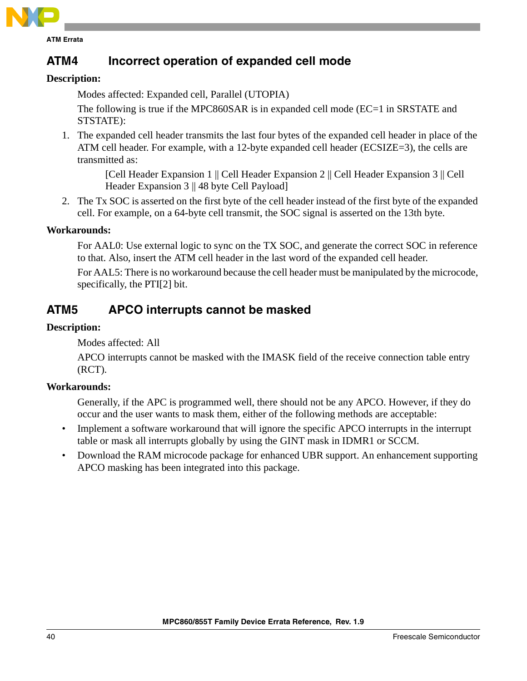

**ATM Errata**

## **ATM4 Incorrect operation of expanded cell mode**

## **Description:**

Modes affected: Expanded cell, Parallel (UTOPIA)

The following is true if the MPC860SAR is in expanded cell mode (EC=1 in SRSTATE and STSTATE):

1. The expanded cell header transmits the last four bytes of the expanded cell header in place of the ATM cell header. For example, with a 12-byte expanded cell header (ECSIZE=3), the cells are transmitted as:

[Cell Header Expansion 1 || Cell Header Expansion 2 || Cell Header Expansion 3 || Cell Header Expansion 3 || 48 byte Cell Payload]

2. The Tx SOC is asserted on the first byte of the cell header instead of the first byte of the expanded cell. For example, on a 64-byte cell transmit, the SOC signal is asserted on the 13th byte.

## **Workarounds:**

For AAL0: Use external logic to sync on the TX SOC, and generate the correct SOC in reference to that. Also, insert the ATM cell header in the last word of the expanded cell header.

For AAL5: There is no workaround because the cell header must be manipulated by the microcode, specifically, the PTI[2] bit.

## **ATM5 APCO interrupts cannot be masked**

### **Description:**

Modes affected: All

APCO interrupts cannot be masked with the IMASK field of the receive connection table entry (RCT).

## **Workarounds:**

Generally, if the APC is programmed well, there should not be any APCO. However, if they do occur and the user wants to mask them, either of the following methods are acceptable:

- Implement a software workaround that will ignore the specific APCO interrupts in the interrupt table or mask all interrupts globally by using the GINT mask in IDMR1 or SCCM.
- Download the RAM microcode package for enhanced UBR support. An enhancement supporting APCO masking has been integrated into this package.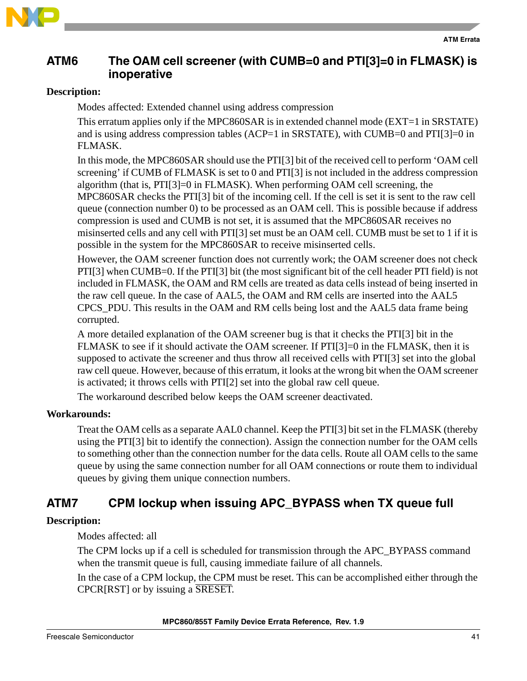

## **ATM6 The OAM cell screener (with CUMB=0 and PTI[3]=0 in FLMASK) is inoperative**

#### **Description:**

Modes affected: Extended channel using address compression

This erratum applies only if the MPC860SAR is in extended channel mode (EXT=1 in SRSTATE) and is using address compression tables (ACP=1 in SRSTATE), with CUMB=0 and PTI[3]=0 in FLMASK.

In this mode, the MPC860SAR should use the PTI[3] bit of the received cell to perform 'OAM cell screening' if CUMB of FLMASK is set to 0 and PTI[3] is not included in the address compression algorithm (that is, PTI[3]=0 in FLMASK). When performing OAM cell screening, the MPC860SAR checks the PTI[3] bit of the incoming cell. If the cell is set it is sent to the raw cell queue (connection number 0) to be processed as an OAM cell. This is possible because if address compression is used and CUMB is not set, it is assumed that the MPC860SAR receives no misinserted cells and any cell with PTI[3] set must be an OAM cell. CUMB must be set to 1 if it is possible in the system for the MPC860SAR to receive misinserted cells.

However, the OAM screener function does not currently work; the OAM screener does not check PTI[3] when CUMB=0. If the PTI[3] bit (the most significant bit of the cell header PTI field) is not included in FLMASK, the OAM and RM cells are treated as data cells instead of being inserted in the raw cell queue. In the case of AAL5, the OAM and RM cells are inserted into the AAL5 CPCS\_PDU. This results in the OAM and RM cells being lost and the AAL5 data frame being corrupted.

A more detailed explanation of the OAM screener bug is that it checks the PTI[3] bit in the FLMASK to see if it should activate the OAM screener. If PTI[3]=0 in the FLMASK, then it is supposed to activate the screener and thus throw all received cells with PTI[3] set into the global raw cell queue. However, because of this erratum, it looks at the wrong bit when the OAM screener is activated; it throws cells with PTI[2] set into the global raw cell queue.

The workaround described below keeps the OAM screener deactivated.

#### **Workarounds:**

Treat the OAM cells as a separate AAL0 channel. Keep the PTI[3] bit set in the FLMASK (thereby using the PTI[3] bit to identify the connection). Assign the connection number for the OAM cells to something other than the connection number for the data cells. Route all OAM cells to the same queue by using the same connection number for all OAM connections or route them to individual queues by giving them unique connection numbers.

## **ATM7 CPM lockup when issuing APC\_BYPASS when TX queue full**

#### **Description:**

Modes affected: all

The CPM locks up if a cell is scheduled for transmission through the APC\_BYPASS command when the transmit queue is full, causing immediate failure of all channels.

In the case of a CPM lockup, the CPM must be reset. This can be accomplished either through the CPCR[RST] or by issuing a SRESET.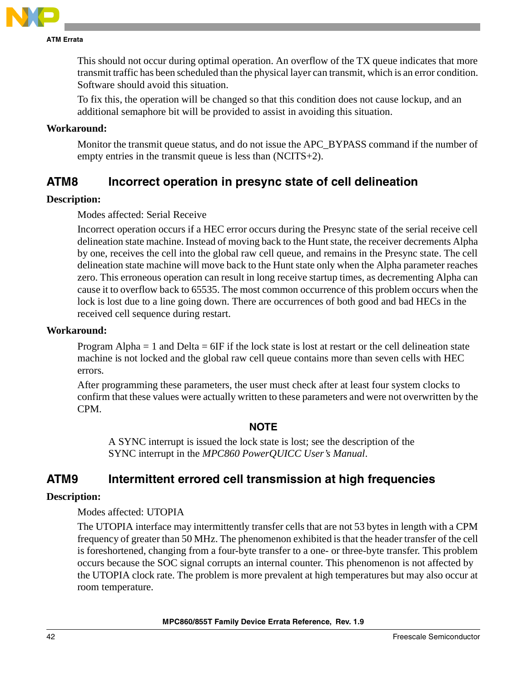

**ATM Errata**

This should not occur during optimal operation. An overflow of the TX queue indicates that more transmit traffic has been scheduled than the physical layer can transmit, which is an error condition. Software should avoid this situation.

To fix this, the operation will be changed so that this condition does not cause lockup, and an additional semaphore bit will be provided to assist in avoiding this situation.

#### **Workaround:**

Monitor the transmit queue status, and do not issue the APC\_BYPASS command if the number of empty entries in the transmit queue is less than (NCITS+2).

## **ATM8 Incorrect operation in presync state of cell delineation**

#### **Description:**

Modes affected: Serial Receive

Incorrect operation occurs if a HEC error occurs during the Presync state of the serial receive cell delineation state machine. Instead of moving back to the Hunt state, the receiver decrements Alpha by one, receives the cell into the global raw cell queue, and remains in the Presync state. The cell delineation state machine will move back to the Hunt state only when the Alpha parameter reaches zero. This erroneous operation can result in long receive startup times, as decrementing Alpha can cause it to overflow back to 65535. The most common occurrence of this problem occurs when the lock is lost due to a line going down. There are occurrences of both good and bad HECs in the received cell sequence during restart.

#### **Workaround:**

Program Alpha  $= 1$  and Delta  $= 6$ IF if the lock state is lost at restart or the cell delineation state machine is not locked and the global raw cell queue contains more than seven cells with HEC errors.

After programming these parameters, the user must check after at least four system clocks to confirm that these values were actually written to these parameters and were not overwritten by the CPM.

#### **NOTE**

A SYNC interrupt is issued the lock state is lost; see the description of the SYNC interrupt in the *MPC860 PowerQUICC User's Manual*.

## **ATM9 Intermittent errored cell transmission at high frequencies**

#### **Description:**

#### Modes affected: UTOPIA

The UTOPIA interface may intermittently transfer cells that are not 53 bytes in length with a CPM frequency of greater than 50 MHz. The phenomenon exhibited is that the header transfer of the cell is foreshortened, changing from a four-byte transfer to a one- or three-byte transfer. This problem occurs because the SOC signal corrupts an internal counter. This phenomenon is not affected by the UTOPIA clock rate. The problem is more prevalent at high temperatures but may also occur at room temperature.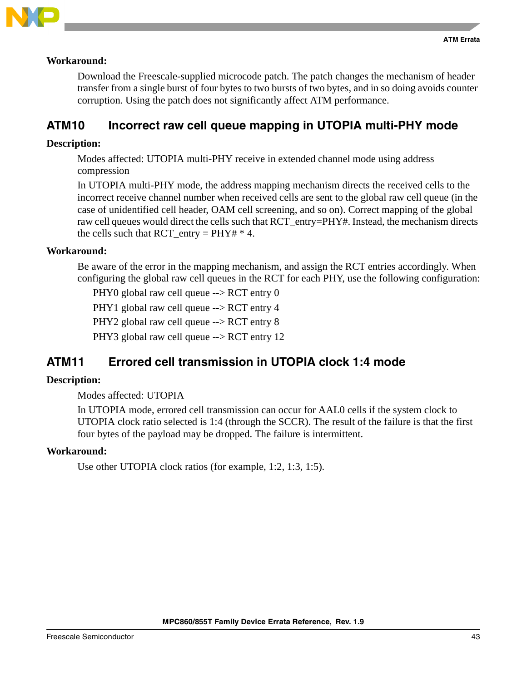

#### **Workaround:**

Download the Freescale-supplied microcode patch. The patch changes the mechanism of header transfer from a single burst of four bytes to two bursts of two bytes, and in so doing avoids counter corruption. Using the patch does not significantly affect ATM performance.

## **ATM10 Incorrect raw cell queue mapping in UTOPIA multi-PHY mode**

#### **Description:**

Modes affected: UTOPIA multi-PHY receive in extended channel mode using address compression

In UTOPIA multi-PHY mode, the address mapping mechanism directs the received cells to the incorrect receive channel number when received cells are sent to the global raw cell queue (in the case of unidentified cell header, OAM cell screening, and so on). Correct mapping of the global raw cell queues would direct the cells such that RCT entry=PHY#. Instead, the mechanism directs the cells such that RCT entry =  $PHY# * 4$ .

#### **Workaround:**

Be aware of the error in the mapping mechanism, and assign the RCT entries accordingly. When configuring the global raw cell queues in the RCT for each PHY, use the following configuration:

PHY0 global raw cell queue --> RCT entry 0 PHY1 global raw cell queue --> RCT entry 4 PHY2 global raw cell queue --> RCT entry 8 PHY3 global raw cell queue --> RCT entry 12

## **ATM11 Errored cell transmission in UTOPIA clock 1:4 mode**

#### **Description:**

Modes affected: UTOPIA

In UTOPIA mode, errored cell transmission can occur for AAL0 cells if the system clock to UTOPIA clock ratio selected is 1:4 (through the SCCR). The result of the failure is that the first four bytes of the payload may be dropped. The failure is intermittent.

#### **Workaround:**

Use other UTOPIA clock ratios (for example, 1:2, 1:3, 1:5).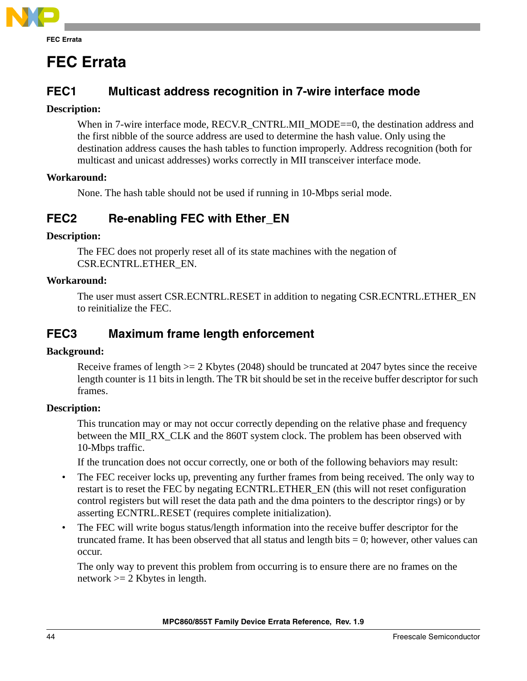

# **FEC Errata**

## **FEC1 Multicast address recognition in 7-wire interface mode**

### **Description:**

When in 7-wire interface mode, RECV.R\_CNTRL.MII\_MODE==0, the destination address and the first nibble of the source address are used to determine the hash value. Only using the destination address causes the hash tables to function improperly. Address recognition (both for multicast and unicast addresses) works correctly in MII transceiver interface mode.

#### **Workaround:**

None. The hash table should not be used if running in 10-Mbps serial mode.

## **FEC2 Re-enabling FEC with Ether\_EN**

#### **Description:**

The FEC does not properly reset all of its state machines with the negation of CSR.ECNTRL.ETHER\_EN.

#### **Workaround:**

The user must assert CSR.ECNTRL.RESET in addition to negating CSR.ECNTRL.ETHER\_EN to reinitialize the FEC.

## **FEC3 Maximum frame length enforcement**

#### **Background:**

Receive frames of length >= 2 Kbytes (2048) should be truncated at 2047 bytes since the receive length counter is 11 bits in length. The TR bit should be set in the receive buffer descriptor for such frames.

#### **Description:**

This truncation may or may not occur correctly depending on the relative phase and frequency between the MII\_RX\_CLK and the 860T system clock. The problem has been observed with 10-Mbps traffic.

If the truncation does not occur correctly, one or both of the following behaviors may result:

- The FEC receiver locks up, preventing any further frames from being received. The only way to restart is to reset the FEC by negating ECNTRL.ETHER\_EN (this will not reset configuration control registers but will reset the data path and the dma pointers to the descriptor rings) or by asserting ECNTRL.RESET (requires complete initialization).
- The FEC will write bogus status/length information into the receive buffer descriptor for the truncated frame. It has been observed that all status and length bits = 0; however, other values can occur.

The only way to prevent this problem from occurring is to ensure there are no frames on the network  $>= 2$  Kbytes in length.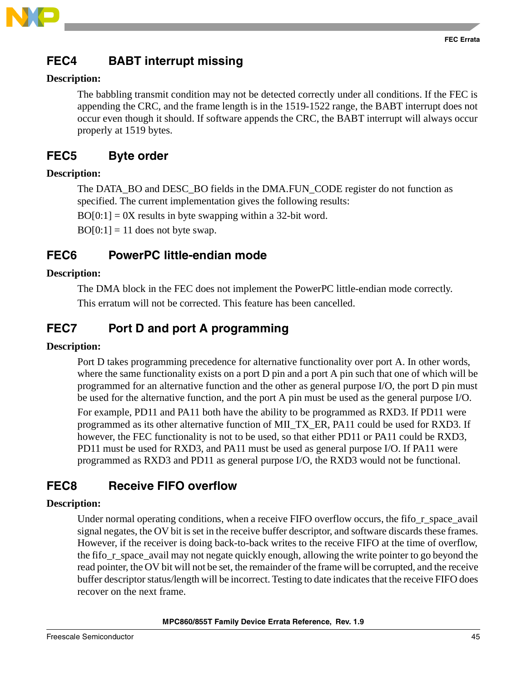

## **FEC4 BABT interrupt missing**

#### **Description:**

The babbling transmit condition may not be detected correctly under all conditions. If the FEC is appending the CRC, and the frame length is in the 1519-1522 range, the BABT interrupt does not occur even though it should. If software appends the CRC, the BABT interrupt will always occur properly at 1519 bytes.

## **FEC5 Byte order**

#### **Description:**

The DATA\_BO and DESC\_BO fields in the DMA.FUN\_CODE register do not function as specified. The current implementation gives the following results:

 $BO[0:1] = 0X$  results in byte swapping within a 32-bit word.

 $BO[0:1] = 11$  does not byte swap.

## **FEC6 PowerPC little-endian mode**

#### **Description:**

The DMA block in the FEC does not implement the PowerPC little-endian mode correctly. This erratum will not be corrected. This feature has been cancelled.

## **FEC7 Port D and port A programming**

#### **Description:**

Port D takes programming precedence for alternative functionality over port A. In other words, where the same functionality exists on a port D pin and a port A pin such that one of which will be programmed for an alternative function and the other as general purpose I/O, the port D pin must be used for the alternative function, and the port A pin must be used as the general purpose I/O.

For example, PD11 and PA11 both have the ability to be programmed as RXD3. If PD11 were programmed as its other alternative function of MII\_TX\_ER, PA11 could be used for RXD3. If however, the FEC functionality is not to be used, so that either PD11 or PA11 could be RXD3, PD11 must be used for RXD3, and PA11 must be used as general purpose I/O. If PA11 were programmed as RXD3 and PD11 as general purpose I/O, the RXD3 would not be functional.

## **FEC8 Receive FIFO overflow**

#### **Description:**

Under normal operating conditions, when a receive FIFO overflow occurs, the fifo $r$  space avail signal negates, the OV bit is set in the receive buffer descriptor, and software discards these frames. However, if the receiver is doing back-to-back writes to the receive FIFO at the time of overflow, the fifo r space avail may not negate quickly enough, allowing the write pointer to go beyond the read pointer, the OV bit will not be set, the remainder of the frame will be corrupted, and the receive buffer descriptor status/length will be incorrect. Testing to date indicates that the receive FIFO does recover on the next frame.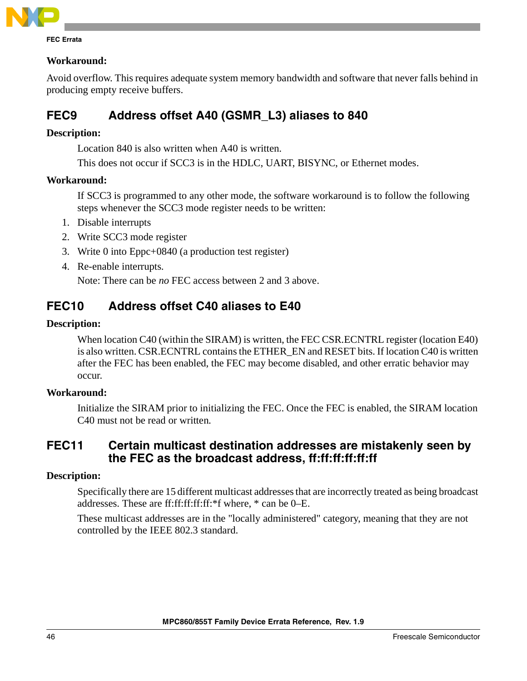

#### **Workaround:**

Avoid overflow. This requires adequate system memory bandwidth and software that never falls behind in producing empty receive buffers.

## **FEC9 Address offset A40 (GSMR\_L3) aliases to 840**

#### **Description:**

Location 840 is also written when A40 is written.

This does not occur if SCC3 is in the HDLC, UART, BISYNC, or Ethernet modes.

#### **Workaround:**

If SCC3 is programmed to any other mode, the software workaround is to follow the following steps whenever the SCC3 mode register needs to be written:

- 1. Disable interrupts
- 2. Write SCC3 mode register
- 3. Write 0 into Eppc+0840 (a production test register)
- 4. Re-enable interrupts.

Note: There can be *no* FEC access between 2 and 3 above.

## **FEC10 Address offset C40 aliases to E40**

#### **Description:**

When location C40 (within the SIRAM) is written, the FEC CSR.ECNTRL register (location E40) is also written. CSR.ECNTRL contains the ETHER EN and RESET bits. If location C40 is written after the FEC has been enabled, the FEC may become disabled, and other erratic behavior may occur.

#### **Workaround:**

Initialize the SIRAM prior to initializing the FEC. Once the FEC is enabled, the SIRAM location C40 must not be read or written.

## **FEC11 Certain multicast destination addresses are mistakenly seen by the FEC as the broadcast address, ff:ff:ff:ff:ff:ff**

#### **Description:**

Specifically there are 15 different multicast addresses that are incorrectly treated as being broadcast addresses. These are ff:ff:ff:ff:ff:\*f where, \* can be 0–E.

These multicast addresses are in the "locally administered" category, meaning that they are not controlled by the IEEE 802.3 standard.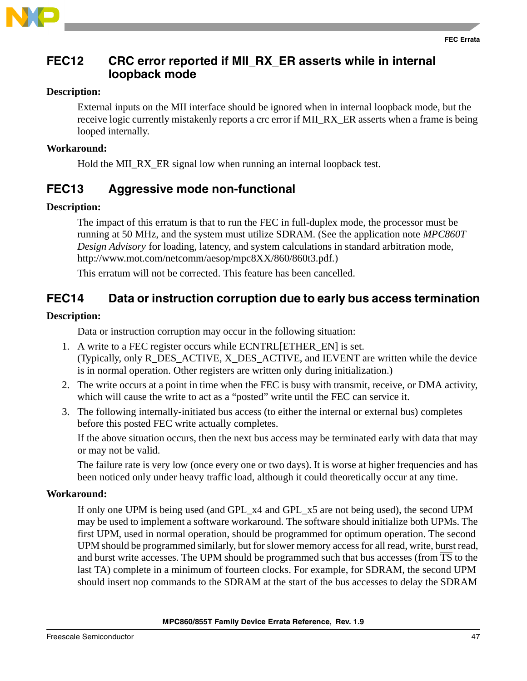

## FEC12 CRC error reported if MII\_RX\_ER asserts while in internal **loopback mode**

#### **Description:**

External inputs on the MII interface should be ignored when in internal loopback mode, but the receive logic currently mistakenly reports a crc error if MII\_RX\_ER asserts when a frame is being looped internally.

#### **Workaround:**

Hold the MII\_RX\_ER signal low when running an internal loopback test.

## **FEC13 Aggressive mode non-functional**

#### **Description:**

The impact of this erratum is that to run the FEC in full-duplex mode, the processor must be running at 50 MHz, and the system must utilize SDRAM. (See the application note *MPC860T Design Advisory* for loading, latency, and system calculations in standard arbitration mode, http://www.mot.com/netcomm/aesop/mpc8XX/860/860t3.pdf.)

This erratum will not be corrected. This feature has been cancelled.

## **FEC14 Data or instruction corruption due to early bus access termination**

#### **Description:**

Data or instruction corruption may occur in the following situation:

- 1. A write to a FEC register occurs while ECNTRL[ETHER\_EN] is set. (Typically, only R\_DES\_ACTIVE, X\_DES\_ACTIVE, and IEVENT are written while the device is in normal operation. Other registers are written only during initialization.)
- 2. The write occurs at a point in time when the FEC is busy with transmit, receive, or DMA activity, which will cause the write to act as a "posted" write until the FEC can service it.
- 3. The following internally-initiated bus access (to either the internal or external bus) completes before this posted FEC write actually completes.

If the above situation occurs, then the next bus access may be terminated early with data that may or may not be valid.

The failure rate is very low (once every one or two days). It is worse at higher frequencies and has been noticed only under heavy traffic load, although it could theoretically occur at any time.

#### **Workaround:**

If only one UPM is being used (and GPL\_x4 and GPL\_x5 are not being used), the second UPM may be used to implement a software workaround. The software should initialize both UPMs. The first UPM, used in normal operation, should be programmed for optimum operation. The second UPM should be programmed similarly, but for slower memory access for all read, write, burst read, and burst write accesses. The UPM should be programmed such that bus accesses (from  $\overline{\text{TS}}$  to the last  $\overline{TA}$ ) complete in a minimum of fourteen clocks. For example, for SDRAM, the second UPM should insert nop commands to the SDRAM at the start of the bus accesses to delay the SDRAM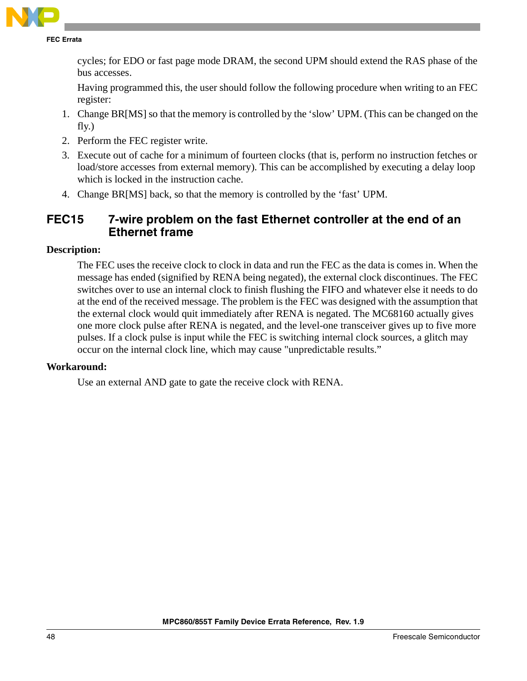

**FEC Errata**

cycles; for EDO or fast page mode DRAM, the second UPM should extend the RAS phase of the bus accesses.

Having programmed this, the user should follow the following procedure when writing to an FEC register:

- 1. Change BR[MS] so that the memory is controlled by the 'slow' UPM. (This can be changed on the fly.)
- 2. Perform the FEC register write.
- 3. Execute out of cache for a minimum of fourteen clocks (that is, perform no instruction fetches or load/store accesses from external memory). This can be accomplished by executing a delay loop which is locked in the instruction cache.
- 4. Change BR[MS] back, so that the memory is controlled by the 'fast' UPM.

## **FEC15 7-wire problem on the fast Ethernet controller at the end of an Ethernet frame**

#### **Description:**

The FEC uses the receive clock to clock in data and run the FEC as the data is comes in. When the message has ended (signified by RENA being negated), the external clock discontinues. The FEC switches over to use an internal clock to finish flushing the FIFO and whatever else it needs to do at the end of the received message. The problem is the FEC was designed with the assumption that the external clock would quit immediately after RENA is negated. The MC68160 actually gives one more clock pulse after RENA is negated, and the level-one transceiver gives up to five more pulses. If a clock pulse is input while the FEC is switching internal clock sources, a glitch may occur on the internal clock line, which may cause "unpredictable results."

#### **Workaround:**

Use an external AND gate to gate the receive clock with RENA.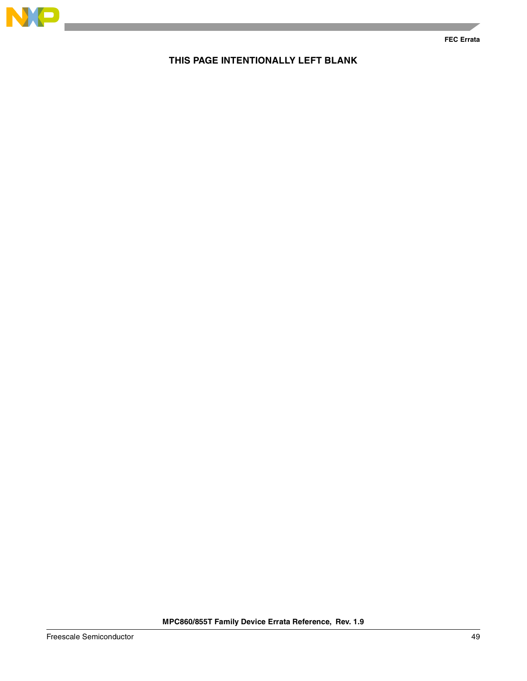

 $\overline{\phantom{a}}$ 

#### **THIS PAGE INTENTIONALLY LEFT BLANK**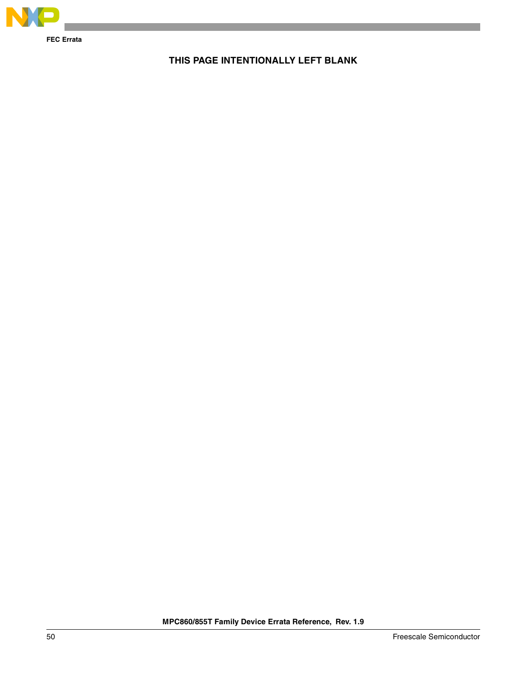

## **THIS PAGE INTENTIONALLY LEFT BLANK**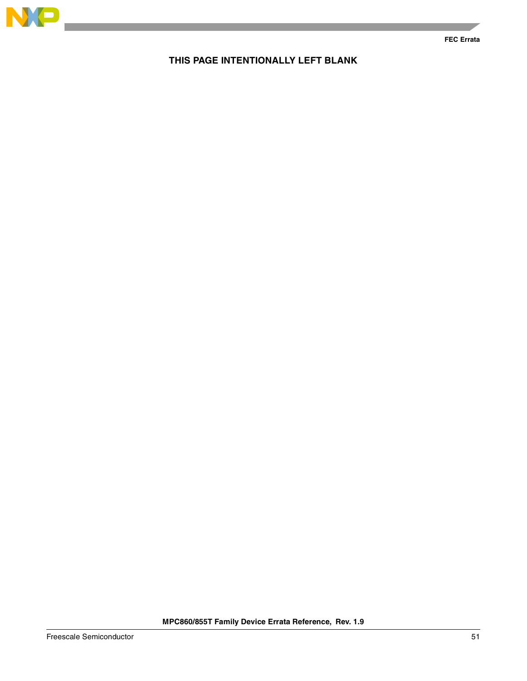

 $\overline{\phantom{a}}$ 

#### **THIS PAGE INTENTIONALLY LEFT BLANK**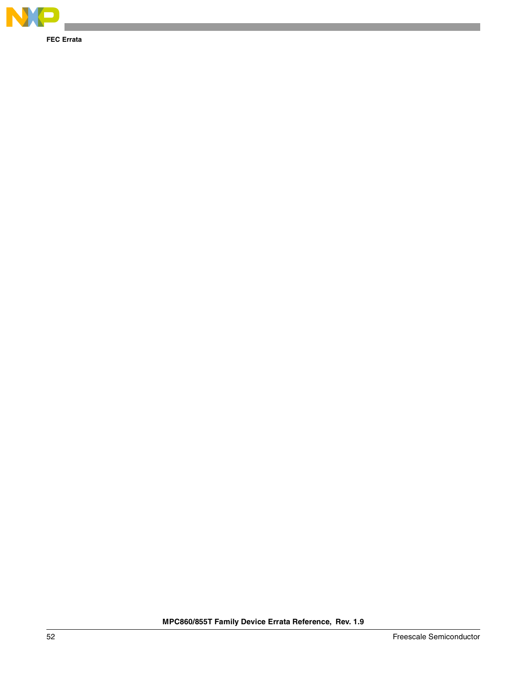

**FEC Errata**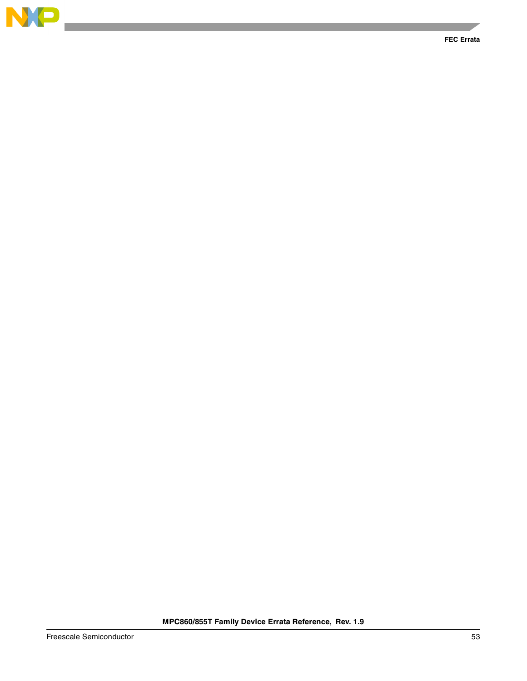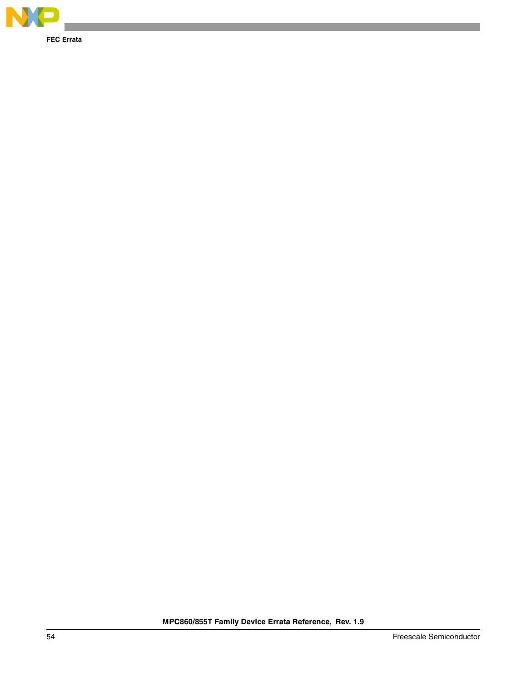

**FEC Errata**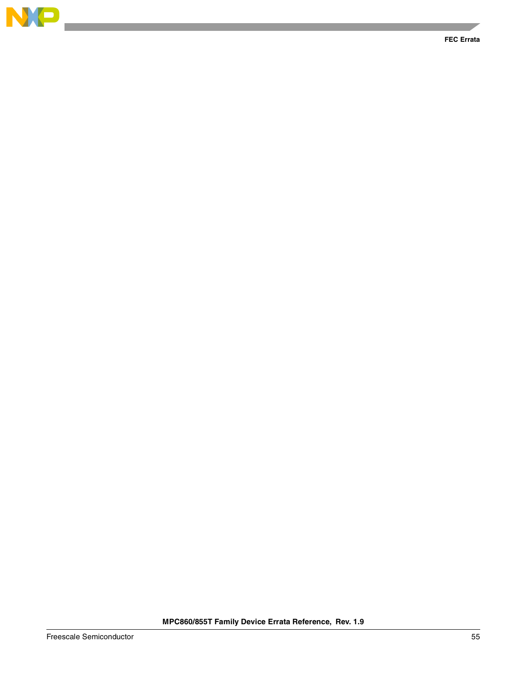